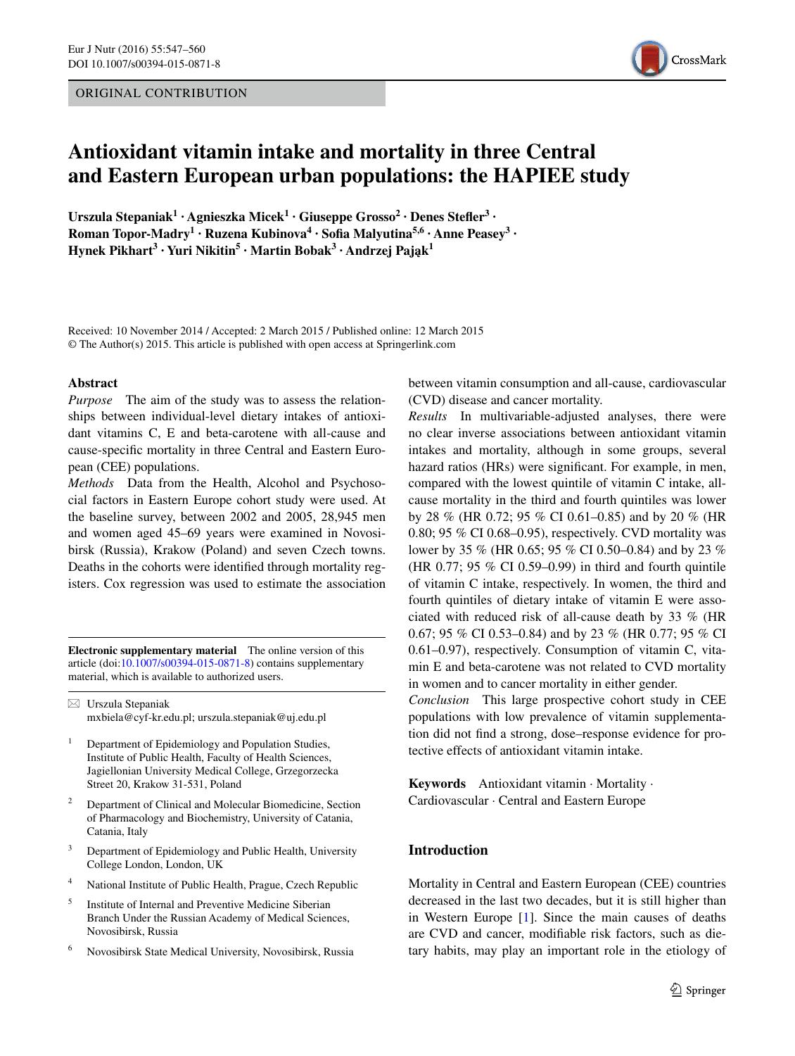### ORIGINAL CONTRIBUTION



# **Antioxidant vitamin intake and mortality in three Central and Eastern European urban populations: the HAPIEE study**

**Urszula**  $\text{Stepaniak}^1 \cdot \text{Agnieszka Micek}^1 \cdot \text{Giuseppe Grosso}^2 \cdot \text{Denes Stefler}^3 \cdot$ **Roman Topor‑Madry<sup>1</sup> · Ruzena Kubinova4 · Sofia Malyutina5,6 · Anne Peasey3 · Hynek Pikhart<sup>3</sup> · Yuri Nikitin5 · Martin Bobak3 · Andrzej Paja˛k<sup>1</sup>**

Received: 10 November 2014 / Accepted: 2 March 2015 / Published online: 12 March 2015 © The Author(s) 2015. This article is published with open access at Springerlink.com

### **Abstract**

*Purpose* The aim of the study was to assess the relationships between individual-level dietary intakes of antioxidant vitamins C, E and beta-carotene with all-cause and cause-specific mortality in three Central and Eastern European (CEE) populations.

*Methods* Data from the Health, Alcohol and Psychosocial factors in Eastern Europe cohort study were used. At the baseline survey, between 2002 and 2005, 28,945 men and women aged 45–69 years were examined in Novosibirsk (Russia), Krakow (Poland) and seven Czech towns. Deaths in the cohorts were identified through mortality registers. Cox regression was used to estimate the association

**Electronic supplementary material** The online version of this article (doi[:10.1007/s00394-015-0871-8](http://dx.doi.org/10.1007/s00394-015-0871-8)) contains supplementary material, which is available to authorized users.

 $\boxtimes$  Urszula Stepaniak mxbiela@cyf-kr.edu.pl; urszula.stepaniak@uj.edu.pl

- <sup>1</sup> Department of Epidemiology and Population Studies, Institute of Public Health, Faculty of Health Sciences, Jagiellonian University Medical College, Grzegorzecka Street 20, Krakow 31-531, Poland
- <sup>2</sup> Department of Clinical and Molecular Biomedicine, Section of Pharmacology and Biochemistry, University of Catania, Catania, Italy
- <sup>3</sup> Department of Epidemiology and Public Health, University College London, London, UK
- <sup>4</sup> National Institute of Public Health, Prague, Czech Republic
- <sup>5</sup> Institute of Internal and Preventive Medicine Siberian Branch Under the Russian Academy of Medical Sciences, Novosibirsk, Russia
- <sup>6</sup> Novosibirsk State Medical University, Novosibirsk, Russia

between vitamin consumption and all-cause, cardiovascular (CVD) disease and cancer mortality.

*Results* In multivariable-adjusted analyses, there were no clear inverse associations between antioxidant vitamin intakes and mortality, although in some groups, several hazard ratios (HRs) were significant. For example, in men, compared with the lowest quintile of vitamin C intake, allcause mortality in the third and fourth quintiles was lower by 28 % (HR 0.72; 95 % CI 0.61–0.85) and by 20 % (HR 0.80; 95 % CI 0.68–0.95), respectively. CVD mortality was lower by 35 % (HR 0.65; 95 % CI 0.50–0.84) and by 23 % (HR 0.77; 95 % CI 0.59–0.99) in third and fourth quintile of vitamin C intake, respectively. In women, the third and fourth quintiles of dietary intake of vitamin E were associated with reduced risk of all-cause death by 33 % (HR 0.67; 95 % CI 0.53–0.84) and by 23 % (HR 0.77; 95 % CI 0.61–0.97), respectively. Consumption of vitamin C, vitamin E and beta-carotene was not related to CVD mortality in women and to cancer mortality in either gender.

*Conclusion* This large prospective cohort study in CEE populations with low prevalence of vitamin supplementation did not find a strong, dose–response evidence for protective effects of antioxidant vitamin intake.

**Keywords** Antioxidant vitamin · Mortality · Cardiovascular · Central and Eastern Europe

# **Introduction**

Mortality in Central and Eastern European (CEE) countries decreased in the last two decades, but it is still higher than in Western Europe [[1\]](#page-12-0). Since the main causes of deaths are CVD and cancer, modifiable risk factors, such as dietary habits, may play an important role in the etiology of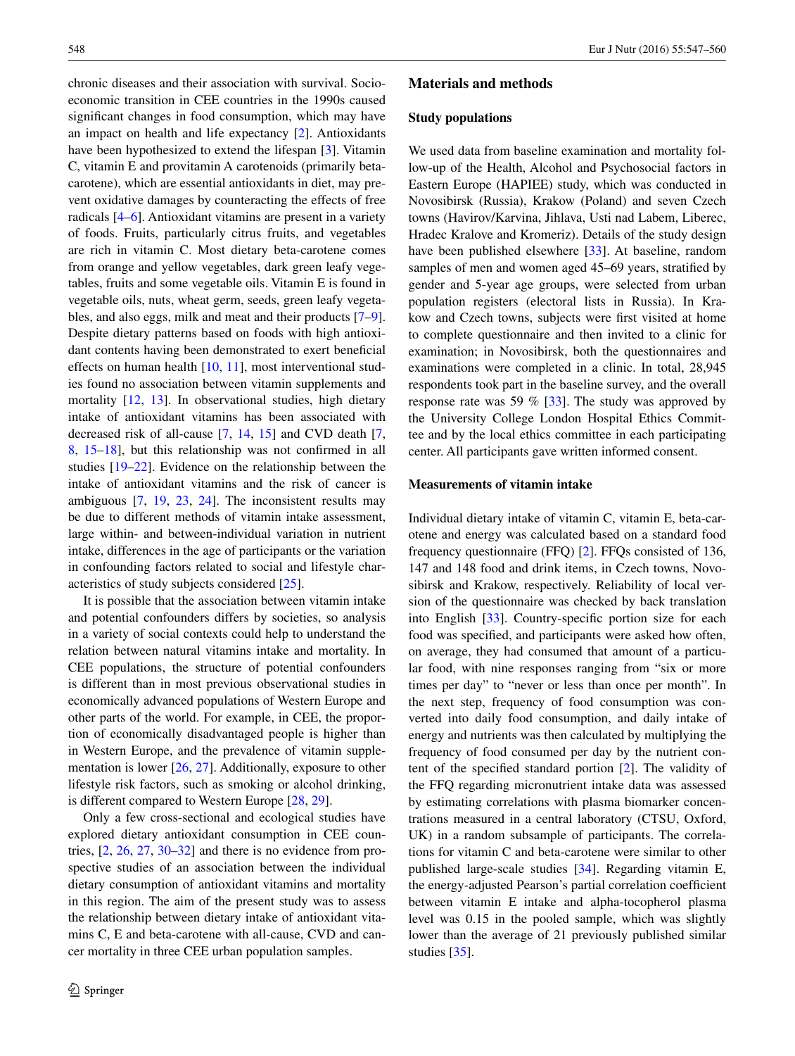chronic diseases and their association with survival. Socioeconomic transition in CEE countries in the 1990s caused significant changes in food consumption, which may have an impact on health and life expectancy [[2\]](#page-12-1). Antioxidants have been hypothesized to extend the lifespan [[3\]](#page-12-2). Vitamin C, vitamin E and provitamin A carotenoids (primarily betacarotene), which are essential antioxidants in diet, may prevent oxidative damages by counteracting the effects of free radicals [[4–](#page-12-3)[6\]](#page-12-4). Antioxidant vitamins are present in a variety of foods. Fruits, particularly citrus fruits, and vegetables are rich in vitamin C. Most dietary beta-carotene comes from orange and yellow vegetables, dark green leafy vegetables, fruits and some vegetable oils. Vitamin E is found in vegetable oils, nuts, wheat germ, seeds, green leafy vegetables, and also eggs, milk and meat and their products [\[7](#page-12-5)[–9](#page-12-6)]. Despite dietary patterns based on foods with high antioxidant contents having been demonstrated to exert beneficial effects on human health [\[10](#page-12-7), [11\]](#page-12-8), most interventional studies found no association between vitamin supplements and mortality [[12,](#page-12-9) [13\]](#page-12-10). In observational studies, high dietary intake of antioxidant vitamins has been associated with decreased risk of all-cause [[7,](#page-12-5) [14,](#page-12-11) [15\]](#page-12-12) and CVD death [[7,](#page-12-5) [8](#page-12-13), [15–](#page-12-12)[18\]](#page-12-14), but this relationship was not confirmed in all studies [[19–](#page-12-15)[22\]](#page-12-16). Evidence on the relationship between the intake of antioxidant vitamins and the risk of cancer is ambiguous [[7,](#page-12-5) [19,](#page-12-15) [23,](#page-12-17) [24\]](#page-12-18). The inconsistent results may be due to different methods of vitamin intake assessment, large within- and between-individual variation in nutrient intake, differences in the age of participants or the variation in confounding factors related to social and lifestyle characteristics of study subjects considered [\[25](#page-12-19)].

It is possible that the association between vitamin intake and potential confounders differs by societies, so analysis in a variety of social contexts could help to understand the relation between natural vitamins intake and mortality. In CEE populations, the structure of potential confounders is different than in most previous observational studies in economically advanced populations of Western Europe and other parts of the world. For example, in CEE, the proportion of economically disadvantaged people is higher than in Western Europe, and the prevalence of vitamin supplementation is lower [\[26](#page-12-20), [27\]](#page-12-21). Additionally, exposure to other lifestyle risk factors, such as smoking or alcohol drinking, is different compared to Western Europe [[28,](#page-12-22) [29\]](#page-13-0).

Only a few cross-sectional and ecological studies have explored dietary antioxidant consumption in CEE countries, [[2,](#page-12-1) [26](#page-12-20), [27,](#page-12-21) [30](#page-13-1)[–32](#page-13-2)] and there is no evidence from prospective studies of an association between the individual dietary consumption of antioxidant vitamins and mortality in this region. The aim of the present study was to assess the relationship between dietary intake of antioxidant vitamins C, E and beta-carotene with all-cause, CVD and cancer mortality in three CEE urban population samples.

### **Materials and methods**

#### **Study populations**

We used data from baseline examination and mortality follow-up of the Health, Alcohol and Psychosocial factors in Eastern Europe (HAPIEE) study, which was conducted in Novosibirsk (Russia), Krakow (Poland) and seven Czech towns (Havirov/Karvina, Jihlava, Usti nad Labem, Liberec, Hradec Kralove and Kromeriz). Details of the study design have been published elsewhere [\[33](#page-13-3)]. At baseline, random samples of men and women aged 45–69 years, stratified by gender and 5-year age groups, were selected from urban population registers (electoral lists in Russia). In Krakow and Czech towns, subjects were first visited at home to complete questionnaire and then invited to a clinic for examination; in Novosibirsk, both the questionnaires and examinations were completed in a clinic. In total, 28,945 respondents took part in the baseline survey, and the overall response rate was 59 % [\[33](#page-13-3)]. The study was approved by the University College London Hospital Ethics Committee and by the local ethics committee in each participating center. All participants gave written informed consent.

#### **Measurements of vitamin intake**

Individual dietary intake of vitamin C, vitamin E, beta-carotene and energy was calculated based on a standard food frequency questionnaire (FFQ) [[2\]](#page-12-1). FFQs consisted of 136, 147 and 148 food and drink items, in Czech towns, Novosibirsk and Krakow, respectively. Reliability of local version of the questionnaire was checked by back translation into English [[33\]](#page-13-3). Country-specific portion size for each food was specified, and participants were asked how often, on average, they had consumed that amount of a particular food, with nine responses ranging from "six or more times per day" to "never or less than once per month". In the next step, frequency of food consumption was converted into daily food consumption, and daily intake of energy and nutrients was then calculated by multiplying the frequency of food consumed per day by the nutrient content of the specified standard portion [\[2](#page-12-1)]. The validity of the FFQ regarding micronutrient intake data was assessed by estimating correlations with plasma biomarker concentrations measured in a central laboratory (CTSU, Oxford, UK) in a random subsample of participants. The correlations for vitamin C and beta-carotene were similar to other published large-scale studies [[34\]](#page-13-4). Regarding vitamin E, the energy-adjusted Pearson's partial correlation coefficient between vitamin E intake and alpha-tocopherol plasma level was 0.15 in the pooled sample, which was slightly lower than the average of 21 previously published similar studies [[35\]](#page-13-5).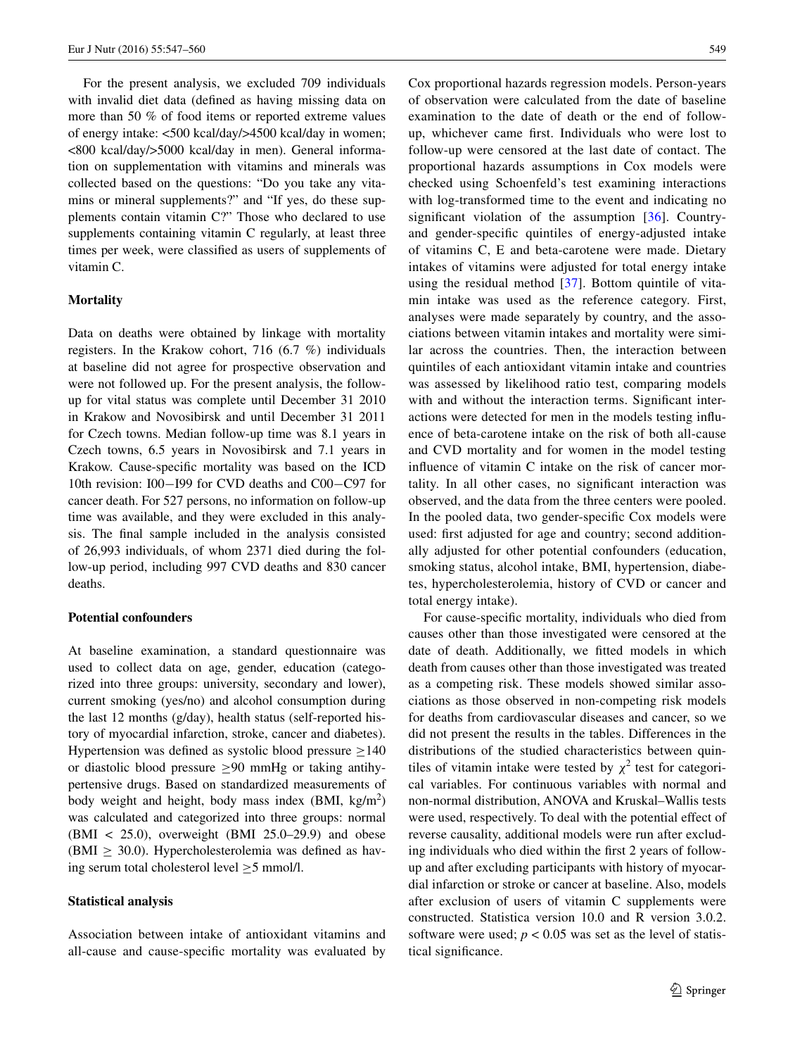For the present analysis, we excluded 709 individuals with invalid diet data (defined as having missing data on more than 50 % of food items or reported extreme values of energy intake: <500 kcal/day/>4500 kcal/day in women; <800 kcal/day/>5000 kcal/day in men). General information on supplementation with vitamins and minerals was collected based on the questions: "Do you take any vitamins or mineral supplements?" and "If yes, do these supplements contain vitamin C?" Those who declared to use supplements containing vitamin C regularly, at least three times per week, were classified as users of supplements of vitamin C.

### **Mortality**

Data on deaths were obtained by linkage with mortality registers. In the Krakow cohort, 716 (6.7 %) individuals at baseline did not agree for prospective observation and were not followed up. For the present analysis, the followup for vital status was complete until December 31 2010 in Krakow and Novosibirsk and until December 31 2011 for Czech towns. Median follow-up time was 8.1 years in Czech towns, 6.5 years in Novosibirsk and 7.1 years in Krakow. Cause-specific mortality was based on the ICD 10th revision: I00−I99 for CVD deaths and C00−C97 for cancer death. For 527 persons, no information on follow-up time was available, and they were excluded in this analysis. The final sample included in the analysis consisted of 26,993 individuals, of whom 2371 died during the follow-up period, including 997 CVD deaths and 830 cancer deaths.

### **Potential confounders**

At baseline examination, a standard questionnaire was used to collect data on age, gender, education (categorized into three groups: university, secondary and lower), current smoking (yes/no) and alcohol consumption during the last 12 months (g/day), health status (self-reported history of myocardial infarction, stroke, cancer and diabetes). Hypertension was defined as systolic blood pressure  $\geq$ 140 or diastolic blood pressure  $\geq 90$  mmHg or taking antihypertensive drugs. Based on standardized measurements of body weight and height, body mass index  $(BMI, kg/m<sup>2</sup>)$ was calculated and categorized into three groups: normal  $(BMI < 25.0)$ , overweight  $(BMI 25.0–29.9)$  and obese (BMI  $\geq$  30.0). Hypercholesterolemia was defined as having serum total cholesterol level  $\geq$ 5 mmol/l.

## **Statistical analysis**

Association between intake of antioxidant vitamins and all-cause and cause-specific mortality was evaluated by

Cox proportional hazards regression models. Person-years of observation were calculated from the date of baseline examination to the date of death or the end of followup, whichever came first. Individuals who were lost to follow-up were censored at the last date of contact. The proportional hazards assumptions in Cox models were checked using Schoenfeld's test examining interactions with log-transformed time to the event and indicating no significant violation of the assumption [\[36\]](#page-13-6). Countryand gender-specific quintiles of energy-adjusted intake of vitamins C, E and beta-carotene were made. Dietary intakes of vitamins were adjusted for total energy intake using the residual method  $[37]$  $[37]$  $[37]$ . Bottom quintile of vitamin intake was used as the reference category. First, analyses were made separately by country, and the associations between vitamin intakes and mortality were similar across the countries. Then, the interaction between quintiles of each antioxidant vitamin intake and countries was assessed by likelihood ratio test, comparing models with and without the interaction terms. Significant interactions were detected for men in the models testing influence of beta-carotene intake on the risk of both all-cause and CVD mortality and for women in the model testing influence of vitamin C intake on the risk of cancer mortality. In all other cases, no significant interaction was observed, and the data from the three centers were pooled. In the pooled data, two gender-specific Cox models were used: first adjusted for age and country; second additionally adjusted for other potential confounders (education, smoking status, alcohol intake, BMI, hypertension, diabetes, hypercholesterolemia, history of CVD or cancer and total energy intake).

For cause-specific mortality, individuals who died from causes other than those investigated were censored at the date of death. Additionally, we fitted models in which death from causes other than those investigated was treated as a competing risk. These models showed similar associations as those observed in non-competing risk models for deaths from cardiovascular diseases and cancer, so we did not present the results in the tables. Differences in the distributions of the studied characteristics between quintiles of vitamin intake were tested by  $\chi^2$  test for categorical variables. For continuous variables with normal and non-normal distribution, ANOVA and Kruskal–Wallis tests were used, respectively. To deal with the potential effect of reverse causality, additional models were run after excluding individuals who died within the first 2 years of followup and after excluding participants with history of myocardial infarction or stroke or cancer at baseline. Also, models after exclusion of users of vitamin C supplements were constructed. Statistica version 10.0 and R version 3.0.2. software were used;  $p < 0.05$  was set as the level of statistical significance.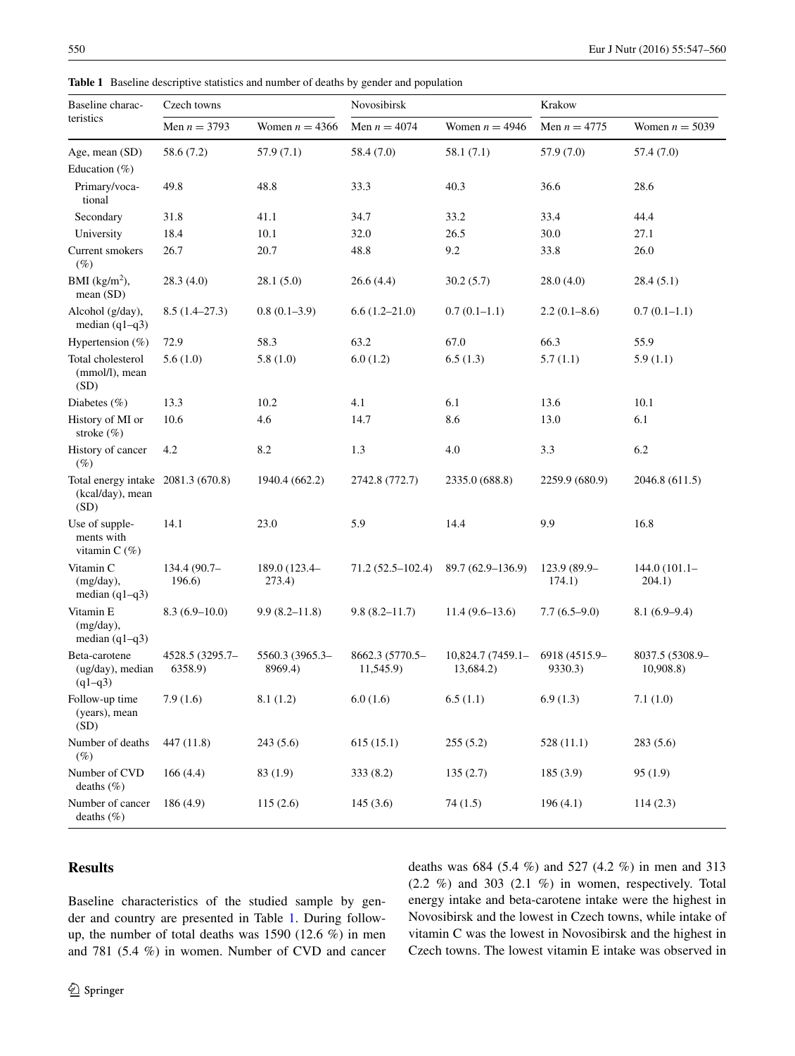<span id="page-3-0"></span>**Table 1** Baseline descriptive statistics and number of deaths by gender and population

| Baseline charac-                                               | Czech towns                |                            | Novosibirsk                  |                                | Krakow                   |                             |
|----------------------------------------------------------------|----------------------------|----------------------------|------------------------------|--------------------------------|--------------------------|-----------------------------|
| teristics                                                      | Men $n = 3793$             | Women $n = 4366$           | Men $n = 4074$               | Women $n = 4946$               | Men $n = 4775$           | Women $n = 5039$            |
| Age, mean (SD)                                                 | 58.6 (7.2)                 | 57.9(7.1)                  | 58.4 (7.0)                   | 58.1(7.1)                      | 57.9 (7.0)               | 57.4 (7.0)                  |
| Education $(\%)$                                               |                            |                            |                              |                                |                          |                             |
| Primary/voca-<br>tional                                        | 49.8                       | 48.8                       | 33.3                         | 40.3                           | 36.6                     | 28.6                        |
| Secondary                                                      | 31.8                       | 41.1                       | 34.7                         | 33.2                           | 33.4                     | 44.4                        |
| University                                                     | 18.4                       | 10.1                       | 32.0                         | 26.5                           | 30.0                     | 27.1                        |
| Current smokers<br>$(\%)$                                      | 26.7                       | 20.7                       | 48.8                         | 9.2                            | 33.8                     | 26.0                        |
| BMI $(kg/m2)$ ,<br>mean $(SD)$                                 | 28.3(4.0)                  | 28.1(5.0)                  | 26.6(4.4)                    | 30.2(5.7)                      | 28.0(4.0)                | 28.4(5.1)                   |
| Alcohol (g/day),<br>median $(q1-q3)$                           | 8.5(1.4–27.3)              | $0.8(0.1-3.9)$             | $6.6(1.2-21.0)$              | $0.7(0.1-1.1)$                 | $2.2(0.1 - 8.6)$         | $0.7(0.1-1.1)$              |
| Hypertension (%)                                               | 72.9                       | 58.3                       | 63.2                         | 67.0                           | 66.3                     | 55.9                        |
| Total cholesterol<br>(mmol/l), mean<br>(SD)                    | 5.6(1.0)                   | 5.8(1.0)                   | 6.0(1.2)                     | 6.5(1.3)                       | 5.7(1.1)                 | 5.9(1.1)                    |
| Diabetes $(\% )$                                               | 13.3                       | 10.2                       | 4.1                          | 6.1                            | 13.6                     | 10.1                        |
| History of MI or<br>stroke $(\%)$                              | 10.6                       | 4.6                        | 14.7                         | 8.6                            | 13.0                     | 6.1                         |
| History of cancer<br>(%)                                       | 4.2                        | 8.2                        | 1.3                          | 4.0                            | 3.3                      | 6.2                         |
| Total energy intake 2081.3 (670.8)<br>(kcal/day), mean<br>(SD) |                            | 1940.4 (662.2)             | 2742.8 (772.7)               | 2335.0 (688.8)                 | 2259.9 (680.9)           | 2046.8 (611.5)              |
| Use of supple-<br>ments with<br>vitamin $C(\%)$                | 14.1                       | 23.0                       | 5.9                          | 14.4                           | 9.9                      | 16.8                        |
| Vitamin C<br>$(mg/day)$ ,<br>median $(q1-q3)$                  | 134.4 (90.7-<br>196.6)     | 189.0 (123.4-<br>273.4)    | $71.2(52.5 - 102.4)$         | 89.7 (62.9-136.9)              | 123.9 (89.9-<br>174.1)   | $144.0(101.1 -$<br>204.1)   |
| Vitamin E<br>$(mg/day)$ ,<br>median $(q1-q3)$                  | $8.3(6.9-10.0)$            | $9.9(8.2 - 11.8)$          | $9.8(8.2 - 11.7)$            | $11.4(9.6-13.6)$               | $7.7(6.5-9.0)$           | $8.1(6.9-9.4)$              |
| Beta-carotene<br>(ug/day), median<br>$(q1-q3)$                 | 4528.5 (3295.7-<br>6358.9) | 5560.3 (3965.3-<br>8969.4) | 8662.3 (5770.5-<br>11,545.9) | 10,824.7 (7459.1-<br>13,684.2) | 6918 (4515.9-<br>9330.3) | 8037.5 (5308.9-<br>10,908.8 |
| Follow-up time<br>(years), mean<br>(SD)                        | 7.9(1.6)                   | 8.1(1.2)                   | 6.0(1.6)                     | 6.5(1.1)                       | 6.9(1.3)                 | 7.1(1.0)                    |
| Number of deaths<br>$(\%)$                                     | 447 (11.8)                 | 243(5.6)                   | 615(15.1)                    | 255(5.2)                       | 528(11.1)                | 283(5.6)                    |
| Number of CVD<br>deaths $(\%)$                                 | 166(4.4)                   | 83(1.9)                    | 333 (8.2)                    | 135(2.7)                       | 185(3.9)                 | 95(1.9)                     |
| Number of cancer<br>deaths $(\%)$                              | 186(4.9)                   | 115(2.6)                   | 145(3.6)                     | 74(1.5)                        | 196(4.1)                 | 114(2.3)                    |

# **Results**

Baseline characteristics of the studied sample by gender and country are presented in Table [1](#page-3-0). During followup, the number of total deaths was 1590 (12.6 %) in men and 781 (5.4 %) in women. Number of CVD and cancer deaths was 684 (5.4 %) and 527 (4.2 %) in men and 313 (2.2 %) and 303 (2.1 %) in women, respectively. Total energy intake and beta-carotene intake were the highest in Novosibirsk and the lowest in Czech towns, while intake of vitamin C was the lowest in Novosibirsk and the highest in Czech towns. The lowest vitamin E intake was observed in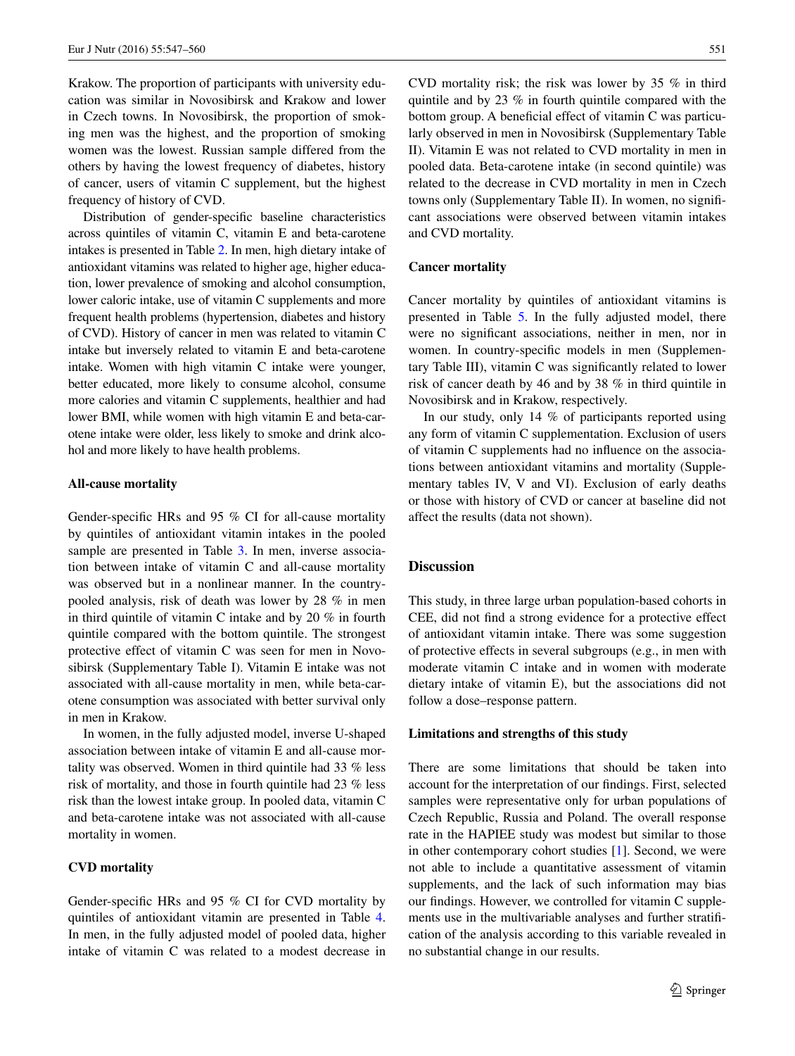Krakow. The proportion of participants with university education was similar in Novosibirsk and Krakow and lower in Czech towns. In Novosibirsk, the proportion of smoking men was the highest, and the proportion of smoking women was the lowest. Russian sample differed from the others by having the lowest frequency of diabetes, history of cancer, users of vitamin C supplement, but the highest frequency of history of CVD.

Distribution of gender-specific baseline characteristics across quintiles of vitamin C, vitamin E and beta-carotene intakes is presented in Table [2](#page-5-0). In men, high dietary intake of antioxidant vitamins was related to higher age, higher education, lower prevalence of smoking and alcohol consumption, lower caloric intake, use of vitamin C supplements and more frequent health problems (hypertension, diabetes and history of CVD). History of cancer in men was related to vitamin C intake but inversely related to vitamin E and beta-carotene intake. Women with high vitamin C intake were younger, better educated, more likely to consume alcohol, consume more calories and vitamin C supplements, healthier and had lower BMI, while women with high vitamin E and beta-carotene intake were older, less likely to smoke and drink alcohol and more likely to have health problems.

#### **All‑cause mortality**

Gender-specific HRs and 95 % CI for all-cause mortality by quintiles of antioxidant vitamin intakes in the pooled sample are presented in Table [3](#page-9-0). In men, inverse association between intake of vitamin C and all-cause mortality was observed but in a nonlinear manner. In the countrypooled analysis, risk of death was lower by 28 % in men in third quintile of vitamin C intake and by 20 % in fourth quintile compared with the bottom quintile. The strongest protective effect of vitamin C was seen for men in Novosibirsk (Supplementary Table I). Vitamin E intake was not associated with all-cause mortality in men, while beta-carotene consumption was associated with better survival only in men in Krakow.

In women, in the fully adjusted model, inverse U-shaped association between intake of vitamin E and all-cause mortality was observed. Women in third quintile had 33 % less risk of mortality, and those in fourth quintile had 23 % less risk than the lowest intake group. In pooled data, vitamin C and beta-carotene intake was not associated with all-cause mortality in women.

### **CVD mortality**

Gender-specific HRs and 95 % CI for CVD mortality by quintiles of antioxidant vitamin are presented in Table [4.](#page-10-0) In men, in the fully adjusted model of pooled data, higher intake of vitamin C was related to a modest decrease in CVD mortality risk; the risk was lower by 35 % in third quintile and by 23 % in fourth quintile compared with the bottom group. A beneficial effect of vitamin C was particularly observed in men in Novosibirsk (Supplementary Table II). Vitamin E was not related to CVD mortality in men in pooled data. Beta-carotene intake (in second quintile) was related to the decrease in CVD mortality in men in Czech towns only (Supplementary Table II). In women, no significant associations were observed between vitamin intakes and CVD mortality.

## **Cancer mortality**

Cancer mortality by quintiles of antioxidant vitamins is presented in Table [5](#page-11-0). In the fully adjusted model, there were no significant associations, neither in men, nor in women. In country-specific models in men (Supplementary Table III), vitamin C was significantly related to lower risk of cancer death by 46 and by 38 % in third quintile in Novosibirsk and in Krakow, respectively.

In our study, only 14 % of participants reported using any form of vitamin C supplementation. Exclusion of users of vitamin C supplements had no influence on the associations between antioxidant vitamins and mortality (Supplementary tables IV, V and VI). Exclusion of early deaths or those with history of CVD or cancer at baseline did not affect the results (data not shown).

# **Discussion**

This study, in three large urban population-based cohorts in CEE, did not find a strong evidence for a protective effect of antioxidant vitamin intake. There was some suggestion of protective effects in several subgroups (e.g., in men with moderate vitamin C intake and in women with moderate dietary intake of vitamin E), but the associations did not follow a dose–response pattern.

### **Limitations and strengths of this study**

There are some limitations that should be taken into account for the interpretation of our findings. First, selected samples were representative only for urban populations of Czech Republic, Russia and Poland. The overall response rate in the HAPIEE study was modest but similar to those in other contemporary cohort studies [\[1](#page-12-0)]. Second, we were not able to include a quantitative assessment of vitamin supplements, and the lack of such information may bias our findings. However, we controlled for vitamin C supplements use in the multivariable analyses and further stratification of the analysis according to this variable revealed in no substantial change in our results.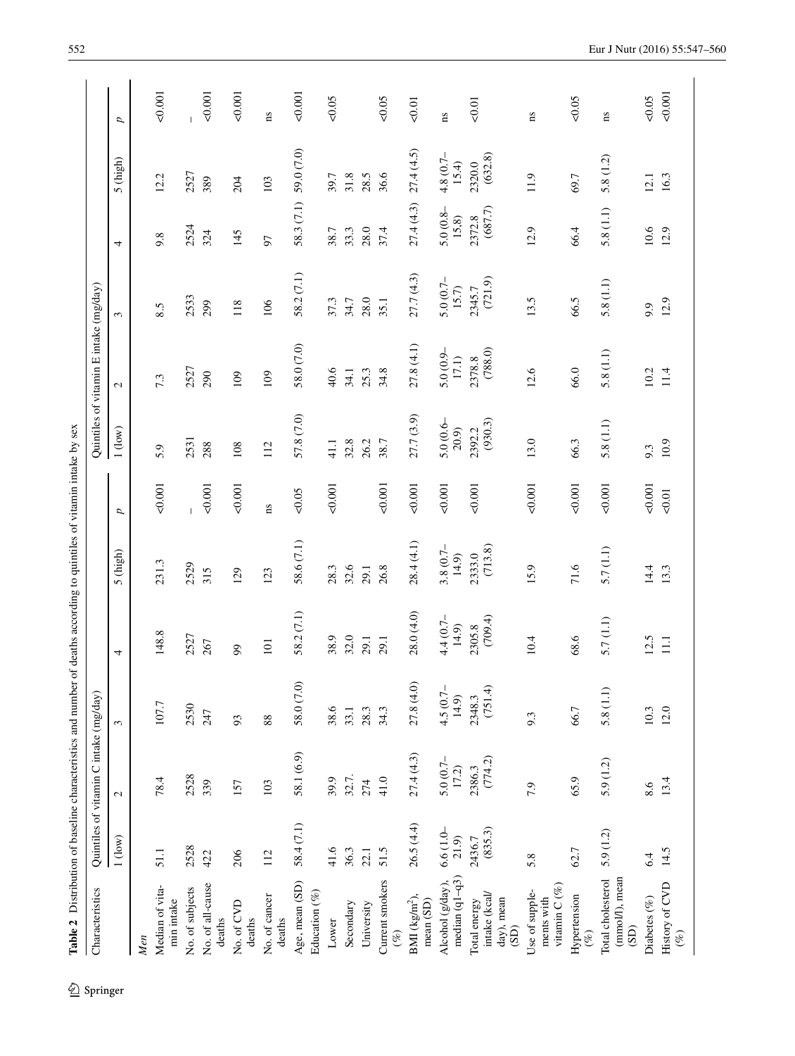<span id="page-5-0"></span>

| Characteristics                                     |                   | Quintiles of vitamin C intake (mg/day) |                     |                    |                     |          |                       | Quintiles of vitamin E intake (mg/day) |                      |                       |                    |                |
|-----------------------------------------------------|-------------------|----------------------------------------|---------------------|--------------------|---------------------|----------|-----------------------|----------------------------------------|----------------------|-----------------------|--------------------|----------------|
|                                                     | $1$ (low)         | $\mathcal{L}$                          | 3                   | 4                  | $5$ (high)          | p        | $1$ (low)             | $\sim$                                 | 3                    | 4                     | 5 (high)           | p              |
| Men                                                 |                   |                                        |                     |                    |                     |          |                       |                                        |                      |                       |                    |                |
| Median of vita-<br>min intake                       | 51.1              | 78.4                                   | 107.7               | 148.8              | 231.3               | 0.001    | 5.9                   | 7.3                                    | 8.5                  | 9.8                   | 12.2               | 0.001          |
| No. of subjects                                     | 2528              | 2528                                   | 2530                | 2527               | 2529                |          | 2531                  | 2527                                   | 2533                 | 2524                  | 2527               | $\overline{1}$ |
| No. of all-cause<br>deaths                          | 422               | 339                                    | 247                 | 267                | 315                 | 0.001    | 288                   | 290                                    | 299                  | 324                   | 389                | 0.001          |
| No. of CVD<br>deaths                                | 206               | 157                                    | 93                  | $\mathcal{S}$      | 129                 | 0.001    | 108                   | 109                                    | 118                  | 145                   | 204                | 0.001          |
| No. of cancer<br>deaths                             | 112               | 103                                    | 88                  | 101                | 123                 | ns       | 112                   | 109                                    | 106                  | 50                    | 103                | ns             |
| Age, mean (SD)<br>Education (%)                     | 58.4 (7.1)        | 58.1 (6.9)                             | 58.0 (7.0)          | 58.2 (7.1)         | 58.6 (7.1)          | 0.05     | 57.8 (7.0)            | 58.0(7.0)                              | 58.2(7.1)            | 58.3 (7.1)            | 59.0 (7.0)         | 0.001          |
| Lower                                               | 41.6              | 39.9                                   | 38.6                | 38.9               | 28.3                | 0.001    | 41.1                  | 40.6                                   | 37.3                 | 38.7                  | 39.7               | 0.05           |
| Secondary                                           | 36.3              | 32.7.                                  | 33.1                | 32.0               | 32.6                |          | 32.8                  | 34.1                                   | 34.7                 | 33.3                  | 31.8               |                |
| University                                          | 22.1              | 274                                    | 28.3                | 29.1               | 29.1                |          | 26.2                  | 25.3                                   | 28.0                 | 28.0                  | 28.5               |                |
| Current smokers<br>$(\%)$                           | 51.5              | 41.0                                   | 34.3                | 29.1               | 26.8                | 0.001    | 38.7                  | 34.8                                   | 35.1                 | 37.4                  | 36.6               | 0.05           |
| BMI (kg/m <sup>2</sup> ),<br>mean (SD)              | 26.5(4.4)         | 27.4(4.3)                              | 27.8 (4.0)          | 28.0 (4.0)         | 28.4(4.1)           | 0.001    | 27.7 (3.9)            | 27.8(4.1)                              | 27.7 (4.3)           | 27.4(4.3)             | 27.4(4.5)          | 0.01           |
| median $(q1-q3)$<br>Alcohol (g/day),                | $6.6(1.0-21.9)$   | 5.0 $(0.7 -$<br>17.2)                  | $4.5(0.7-$<br>14.9) | $4.4(0.7-$<br>14.9 | $3.8(0.7 -$<br>14.9 | $-0.001$ | $5.0(0.6 -$<br>(6.02) | $5.0(0.9 -$<br>17.1)                   | $5.0(0.7 -$<br>15.7) | $5.0(0.8 -$<br>15, 8) | $4.8(0.7-$<br>15.4 | ns             |
| intake (kcal/<br>day), mean<br>Total energy<br>(SD) | (835.3)<br>2436.7 | (774.2)<br>2386.3                      | (751.4)<br>2348.3   | (709.4)<br>2305.8  | (713.8)<br>2333.0   | $-0.001$ | (930.3)<br>2392.2     | (788.0)<br>2378.8                      | (721.9)<br>2345.7    | (687.7)<br>2372.8     | (632.8)<br>2320.0  | 0.01           |
| vitamin $C(\%)$<br>Use of supple-<br>ments with     | 5.8               | 7.9                                    | 9.3                 | 10.4               | 15.9                | $-0.001$ | 13.0                  | 12.6                                   | 13.5                 | 12.9                  | 11.9               | ns             |
| Hypertension<br>$(\%)$                              | 62.7              | 65.9                                   | 66.7                | 68.6               | 71.6                | 0.001    | 66.3                  | 66.0                                   | 66.5                 | 66.4                  | 69.7               | 0.05           |
| (mmol/l), mean<br>Total cholesterol<br>(SD)         | 5.9 (1.2)         | 5.9 (1.2)                              | 5.8 (1.1)           | 5.7 (1.1)          | 5.7(1.1)            | 0.001    | 5.8 (1.1)             | 5.8 (1.1)                              | 5.8 (1.1)            | 5.8(1.1)              | 5.8 (1.2)          | ns             |
| Diabetes (%)                                        | 6.4               | 8.6                                    | 10.3                | 12.5               | 14.4                | 0.001    | 9.3                   | 10.2                                   | 9.9                  | 10.6                  | 12.1               | 0.05           |
| History of CVD<br>$(\%)$                            | 14.5              | 13.4                                   | 12.0                | $\overline{111}$   | 13.3                | 0.01     | 10.9                  | 11.4                                   | 12.9                 | 12.9                  | 16.3               | 0.001          |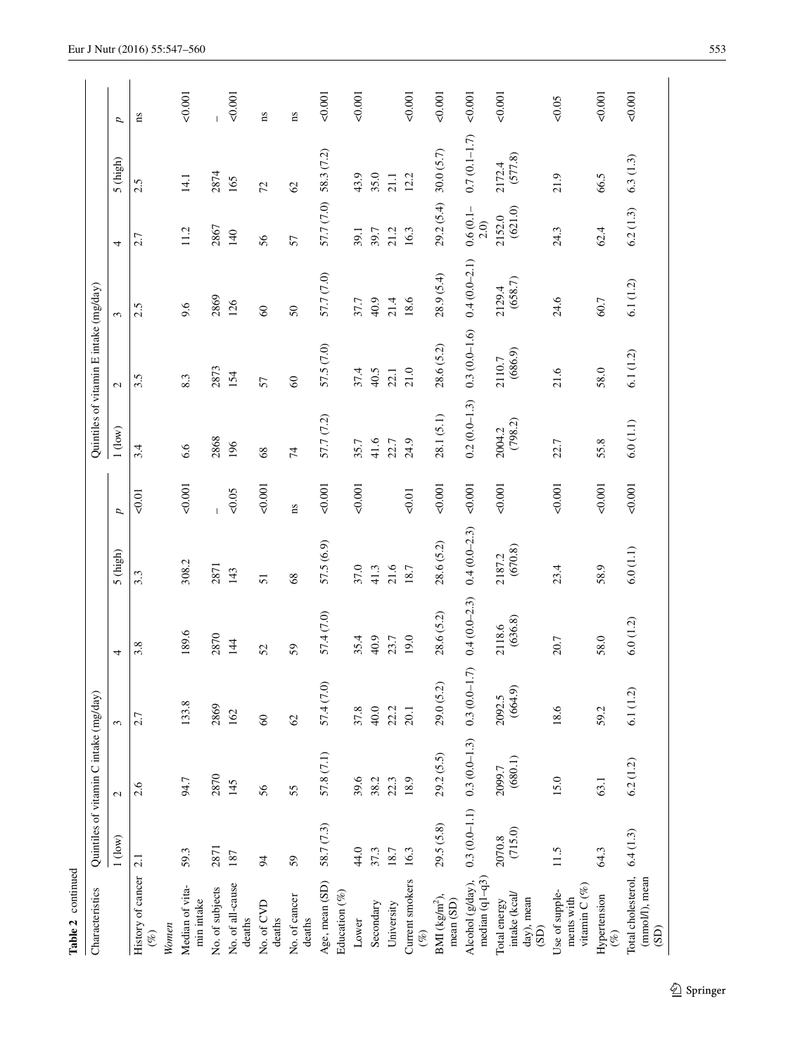| Table 2 continued                                   |                   |                                        |                     |                   |                   |         |                   |                                        |                   |                     |                   |       |
|-----------------------------------------------------|-------------------|----------------------------------------|---------------------|-------------------|-------------------|---------|-------------------|----------------------------------------|-------------------|---------------------|-------------------|-------|
| Characteristics                                     |                   | Quintiles of vitamin C intake (mg/day) |                     |                   |                   |         |                   | Quintiles of vitamin E intake (mg/day) |                   |                     |                   |       |
|                                                     | $1$ (low)         | $\mathcal{L}$                          | ω                   | 4                 | 5 (high)          | Þ       | $1$ (low)         | $\mathcal{L}$                          | 3                 | 4                   | 5 (high)          | p     |
| History of cancer<br><b>Women</b><br>$(\%)$         | 2.1               | 2.6                                    | 2.7                 | 3.8               | 3.3               | $-0.01$ | 3.4               | 3.5                                    | 2.5               | 2.7                 | 2.5               | ns    |
| Median of vita-<br>min intake                       | 59.3              | 94.7                                   | 133.8               | 189.6             | 308.2             | 0.001   | 6.6               | 8.3                                    | 9.6               | 11.2                | 14.1              | 0.001 |
| No. of subjects                                     | 2871              | 2870                                   | 2869                | 2870              | 2871              |         | 2868              | 2873                                   | 2869              | 2867                | 2874              |       |
| No. of all-cause<br>deaths                          | 187               | 145                                    | 162                 | 144               | 143               | 0.05    | 196               | 154                                    | 126               | 140                 | 165               | 0.001 |
| No. of CVD<br>deaths                                | $\overline{5}$    | 56                                     | $\pmb{\mathcal{S}}$ | 52                | 51                | 0.001   | 68                | 57                                     | 60                | 56                  | 72                | ns    |
| No. of cancer<br>deaths                             | 59                | 55                                     | $\mathcal{O}$       | 59                | $68\,$            | ns      | 74                | $\infty$                               | 50                | 57                  | $\mathcal{S}$     | ns    |
| Age, mean (SD)<br>Education (%)                     | 58.7 (7.3)        | 57.8(7.1)                              | 57.4(7.0)           | 57.4 (7.0)        | 57.5 (6.9)        | 0.001   | 57.7 (7.2)        | 57.5 (7.0)                             | 57.7 (7.0)        | 57.7 (7.0)          | 58.3 (7.2)        | 0.001 |
| Lower                                               | 44.0              | 39.6                                   | 37.8                | 35.4              | 37.0              | 0.001   | 35.7              | 37.4                                   | 37.7              | 39.1                | 43.9              | 0.001 |
| Secondary                                           | 37.3              | 38.2                                   | 40.0                | 40.9              | 41.3              |         | 41.6              | 40.5                                   | 40.9              | 39.7                | 35.0              |       |
| University                                          | 18.7              | 22.3                                   | 22.2                | 23.7              | 21.6              |         | 22.7              | 22.1                                   | 21.4              | 21.2                | 21.1              |       |
| Current smokers<br>$(\%)$                           | 16.3              | 18.9                                   | 20.1                | 19.0              | 18.7              | 0.01    | 24.9              | 21.0                                   | 18.6              | 16.3                | 12.2              | 0.001 |
| $\mathbf{BMI}$ (kg/m <sup>2</sup> ),<br>mean (SD)   | 29.5(5.8)         | 29.2(5.5)                              | 29.0 (5.2)          | 28.6 (5.2)        | 28.6 (5.2)        | 0.001   | 28.1(5.1)         | 28.6 (5.2)                             | 28.9(5.4)         | 29.2(5.4)           | 30.0(5.7)         | 0.001 |
| median $(q1-q3)$<br>Alcohol (g/day),                | $0.3(0.0 - 1.1)$  | $0.3(0.0-1.3)$ $0.3(0.0-1.$            | $\tilde{\zeta}$     | $0.4(0.0 - 2.3)$  | $0.4(0.0 - 2.3)$  | 0.001   | $0.2(0.0 - 1.3)$  | $0.3(0.0 - 1.6)$                       | $0.4(0.0 - 2.1)$  | $0.6(0.1 -$<br>2.0) | $0.7(0.1 - 1.7)$  | 0.001 |
| intake (kcal/<br>day), mean<br>(SD)<br>Total energy | (715.0)<br>2070.8 | (680.1)<br>2099.7                      | (664.9)<br>2092.5   | (636.8)<br>2118.6 | (670.8)<br>2187.2 | 0.001   | (798.2)<br>2004.2 | (686.9)<br>2110.7                      | (658.7)<br>2129.4 | (621.0)<br>2152.0   | (577.8)<br>2172.4 | 0.001 |
| vitamin C $(\%)$<br>Use of supple-<br>ments with    | 11.5              | 15.0                                   | 18.6                | 20.7              | 23.4              | 0.001   | 22.7              | 21.6                                   | 24.6              | 24.3                | 21.9              | 0.05  |
| Hypertension<br>$(\%)$                              | 64.3              | 63.1                                   | 59.2                | 58.0              | 58.9              | 0.001   | 55.8              | 58.0                                   | 60.7              | 62.4                | 66.5              | 0.001 |
| Total cholesterol,<br>(mmol/l), mean<br>(SD)        | 6.4(1.3)          | 6.2(1.2)                               | 6.1(1.2)            | 6.0(1.2)          | 6.0(1.1)          | 0.001   | 6.0(1.1)          | 6.1(1.2)                               | 6.1(1.2)          | 6.2(1.3)            | 6.3(1.3)          | 0.001 |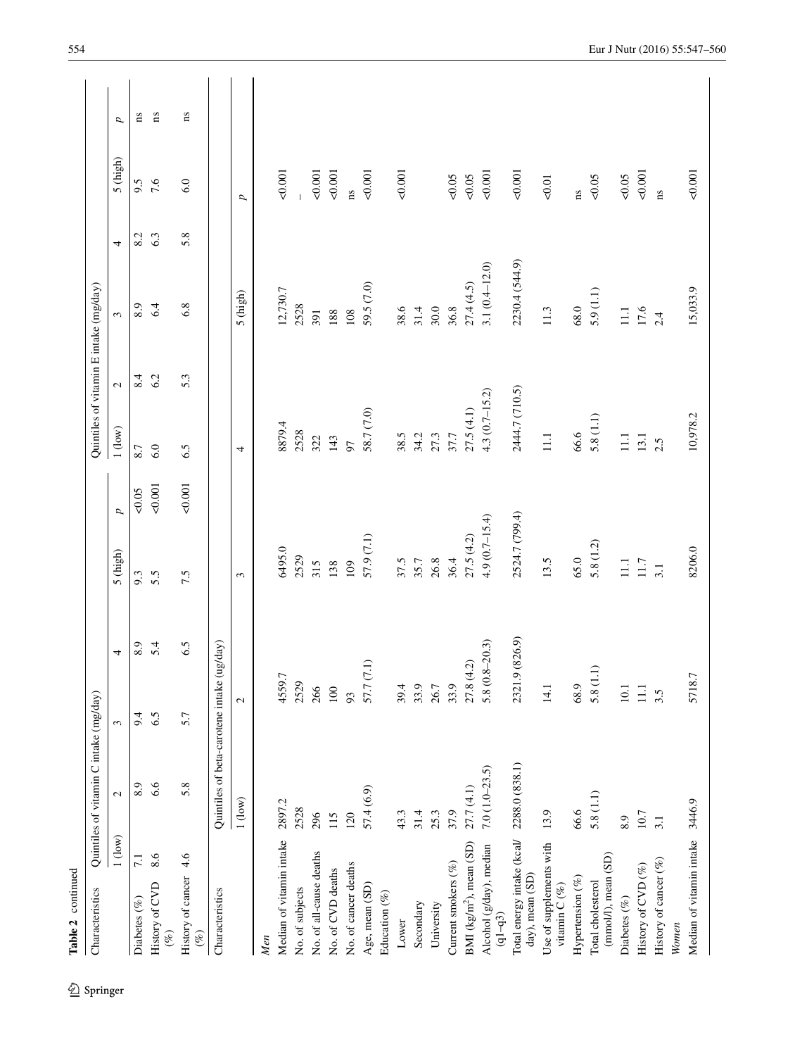| Characteristics                                              |           | Quintiles of vitamin C intake (mg/day)     |           |                 |                       |         |                 |               | Quintiles of vitamin E intake (mg/day) |     |             |    |
|--------------------------------------------------------------|-----------|--------------------------------------------|-----------|-----------------|-----------------------|---------|-----------------|---------------|----------------------------------------|-----|-------------|----|
|                                                              | $1$ (low) | $\sim$                                     | 3         | 4               | 5 (high)              | p       | $1$ (low)       | $\mathcal{L}$ | $\epsilon$                             | 4   | 5 (high)    | d  |
| Diabetes (%)                                                 | $7.1\,$   | 8.9                                        | 9.4       | 8.9             | 9.3                   | $-0.05$ | 8.7             | 8.4           | 8.9                                    | 8.2 | 6.6         | ns |
| History of CVD<br>$(\%)$                                     | 8.6       | 6.6                                        | 6.5       | 5.4             | 5.5                   | 0.001   | 6.0             | 6.2           | 6.4                                    | 6.3 | 7.6         | ns |
| History of cancer 4.6<br>$(\%)$                              |           | 5.8                                        | 5.7       | 6.5             | 7.5                   | 0.001   | 6.5             | 5.3           | 6.8                                    | 5.8 | 6.0         | ns |
| Characteristics                                              |           | Quintiles of beta-carotene intake (ug/day) |           |                 |                       |         |                 |               |                                        |     |             |    |
|                                                              |           | $1$ (low)                                  | $\sim$    |                 | $\epsilon$            |         | 4               |               | 5 (high)                               |     | p           |    |
| Men                                                          |           |                                            |           |                 |                       |         |                 |               |                                        |     |             |    |
| Median of vitamin intake                                     |           | 2897.2                                     | 4559.7    |                 | 6495.0                |         | 8879.4          |               | 12,730.7                               |     | 0.001       |    |
| No. of subjects                                              |           | 2528                                       | 2529      |                 | 2529                  |         | 2528            |               | 2528                                   |     |             |    |
| No. of all-cause deaths                                      |           | 296                                        | 266       |                 | 315                   |         | 322             |               | 391                                    |     | 0.001       |    |
| No. of CVD deaths                                            |           | 115                                        | 100       |                 | 138                   |         | 143             |               | 188                                    |     | 0.001       |    |
| No. of cancer deaths                                         |           | 120                                        | 93        |                 | 109                   |         | 50              |               | 108                                    |     | $_{\rm ns}$ |    |
| Age, mean (SD)                                               |           | 57.4(6.9)                                  | 57.7(7.1) |                 | 57.9 <sub>(7.1)</sub> |         | 58.7 (7.0)      |               | 59.5 (7.0)                             |     | 0.001       |    |
| Education (%)<br>Lower                                       |           | 43.3                                       | 39.4      |                 | 37.5                  |         | 38.5            |               | 38.6                                   |     | 0.001       |    |
| Secondary                                                    |           | 31.4                                       | 33.9      |                 | 35.7                  |         | 34.2            |               | 31.4                                   |     |             |    |
| University                                                   |           | 25.3                                       | 26.7      |                 | 26.8                  |         | 27.3            |               | 30.0                                   |     |             |    |
| Current smokers (%)                                          |           | 37.9                                       | 33.9      |                 | 36.4                  |         | 37.7            |               | 36.8                                   |     | 0.05        |    |
| BMI $(kg/m2)$ , mean (SD)                                    |           | 27.7(4.1)                                  | 27.8(4.2) |                 | 27.5(4.2)             |         | 27.5(4.1)       |               | 27.4(4.5)                              |     | $<0.05$     |    |
| Alcohol (g/day), median<br>$(q1 - q3)$                       |           | $7.0(1.0-23.5)$                            |           | $5.8(0.8-20.3)$ | $4.9(0.7 - 15.4)$     |         | $4.3(0.7-15.2)$ |               | $3.1(0.4 - 12.0)$                      |     | 0.001       |    |
| Total energy intake (kcal/ 2288.0 (838.1)<br>day), mean (SD) |           |                                            | 2321.9    | (826.9)         | 2524.7 (799.4)        |         | 2444.7 (710.5)  |               | 2230.4 (544.9)                         |     | 0.001       |    |
| Use of supplements with<br>vitamin $C(\%)$                   |           | 13.9                                       | 14.1      |                 | 13.5                  |         | 11.1            |               | 11.3                                   |     | 50.01       |    |
| Hypertension (%)                                             |           | 66.6                                       | 68.9      |                 | 65.0                  |         | 66.6            |               | 68.0                                   |     | $_{\rm ns}$ |    |
| (mmol/l), mean (SD)<br>Total cholesterol                     |           | 5.8(1.1)                                   | 5.8(1.1)  |                 | 5.8(1.2)              |         | 5.8(1.1)        |               | 5.9(1.1)                               |     | 0.05        |    |
| Diabetes (%)                                                 |           | 8.9                                        | 10.1      |                 | 11.1                  |         | $\Xi$           |               | 11.1                                   |     | $<0.05$     |    |
| History of CVD $(\%)$                                        |           | $10.7\,$                                   | 11.1      |                 | 11.7                  |         | 13.1            |               | 17.6                                   |     | 0.001       |    |
| History of cancer (%)                                        |           | 3.1                                        | 3.5       |                 | 3.1                   |         | 2.5             |               | 2.4                                    |     | ns          |    |
| Women                                                        |           |                                            |           |                 |                       |         |                 |               |                                        |     |             |    |
| Median of vitamin intake 3446.9                              |           |                                            |           |                 |                       |         |                 |               |                                        |     |             |    |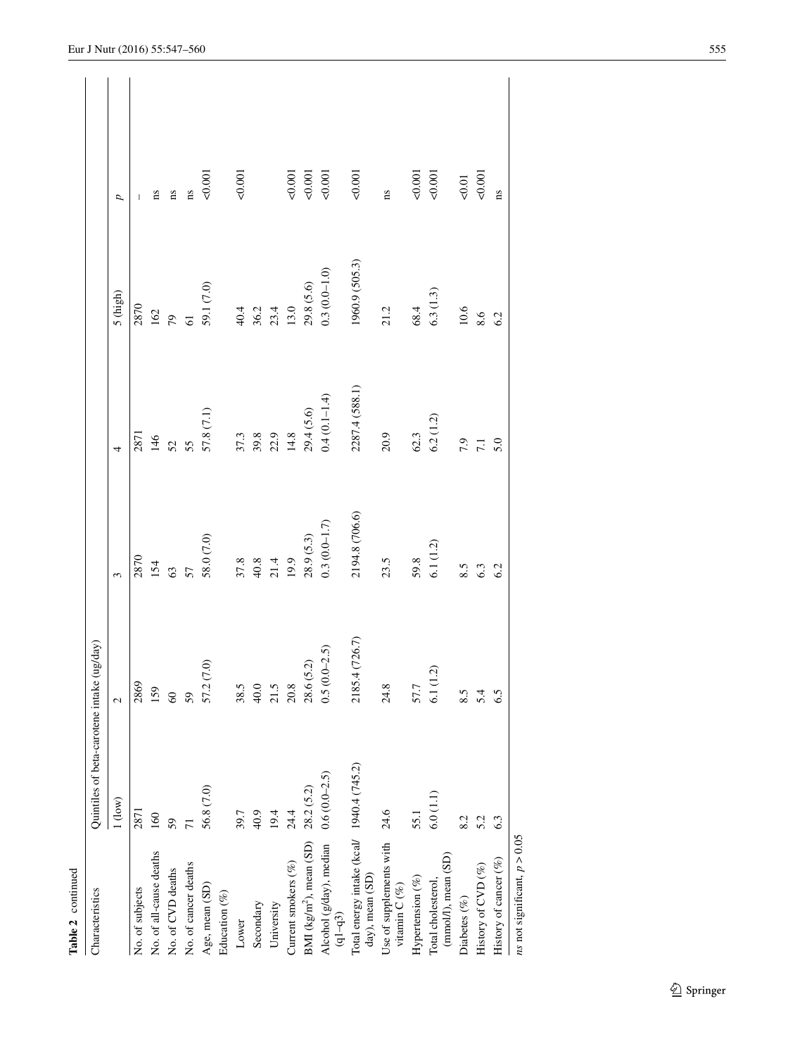| Table 2 continued                                            |                                            |                                     |                                      |                      |                            |                           |
|--------------------------------------------------------------|--------------------------------------------|-------------------------------------|--------------------------------------|----------------------|----------------------------|---------------------------|
| Characteristics                                              | Quintiles of beta-carotene intake (ug/day) |                                     |                                      |                      |                            |                           |
|                                                              | $1$ (low)                                  | $\sim$                              | $\tilde{\epsilon}$                   |                      | 5 (high)                   | d                         |
| No. of subjects                                              | 2871                                       | 2869                                | 2870                                 | 2871                 | 2870                       |                           |
| No. of all-cause deaths                                      | 160                                        | 159                                 |                                      |                      |                            | $\mathbf{n}\mathbf{s}$    |
| No. of CVD deaths                                            | 59                                         | $\mbox{ }^{60}$                     | $154$<br>63                          | $\frac{46}{32}$      | $\frac{162}{12}$           | $\mathbf{n}$ s            |
| No. of cancer deaths                                         | $\overline{7}$                             | 59                                  | 57                                   |                      |                            | $_{\rm ns}$               |
| Age, mean (SD)                                               | 56.8 (7.0)                                 | $\widehat{c}$<br>57.2(7)            | 58.0 (7.0)                           | 57.8(7.1)            | 59.1 (7.0)                 | 0.001                     |
| Education (%)                                                |                                            |                                     |                                      |                      |                            |                           |
| Lower                                                        | 39.7                                       | 38.5                                |                                      |                      |                            | 0.001                     |
| Secondary                                                    | 40.9                                       | 40.0                                | $37.8$<br>$40.8$<br>$21.4$<br>$19.9$ | 37.3<br>39.8<br>22.9 | $40.4$<br>$36.2$<br>$23.4$ |                           |
| University                                                   | 19.4                                       | 21.5                                |                                      |                      |                            |                           |
| Current smokers (%)                                          | 24.4                                       | 20.8                                |                                      | 14.8                 | 13.0                       | 0.001                     |
| BMI $(kg/m^2)$ , mean (SD)                                   | 28.2 (5.2)                                 | 28.6 (5.2)                          |                                      | 29.4(5.6)            | 29.8 (5.6)                 | 0.001                     |
| Alcohol (g/day), median<br>$(q1 - q3)$                       | $0.6(0.0 - 2.5)$                           | $0.5(0.0-2.5)$                      | $28.9(5.3)$<br>0.3 (0.0-1.7)         | $0.4(0.1 - 1.4)$     | $0.3(0.0 - 1.0)$           | 0.001                     |
| Total energy intake (kcal/ 1940.4 (745.2)<br>day), mean (SD) |                                            | (726.7)<br>2185.4                   | 2194.8 (706.6)                       | 2287.4 (588.1)       | 1960.9 (505.3)             | 0.001                     |
| Use of supplements with<br>vitamin $C(\%)$                   | 24.6                                       | 24.8                                | 23.5                                 | $20.9\,$             | 21.2                       | $_{\rm ns}$               |
| Hypertension (%)                                             | 55.1                                       | 57.7                                | 59.8                                 | 62.3                 | 68.4                       | 0.001                     |
| (mmol/l), mean (SD)<br>Total cholesterol,                    | 6.0(1.1)                                   | $\widehat{\mathcal{L}}$<br>6.1(1.1) | $6.1\,(1.2)$                         | 6.2(1.2)             | 6.3(1.3)                   | 0.001                     |
| Diabetes (%)                                                 | 8.2                                        | 8.5                                 | 8.5                                  | 7.1                  | $\frac{10.6}{8.6}$         | 50.01                     |
| History of CVD $(\%)$                                        | 5.2                                        | 5.4                                 | 6.3                                  |                      |                            | 0.001                     |
| History of cancer (%)                                        | 6.3                                        | 6.5                                 | 6.2                                  | 5.0                  | 6.2                        | $\overline{\mathbf{n}}$ s |
| <i>ns</i> not significant, $p > 0.05$                        |                                            |                                     |                                      |                      |                            |                           |

 $\underline{\textcircled{\tiny 2}}$  Springer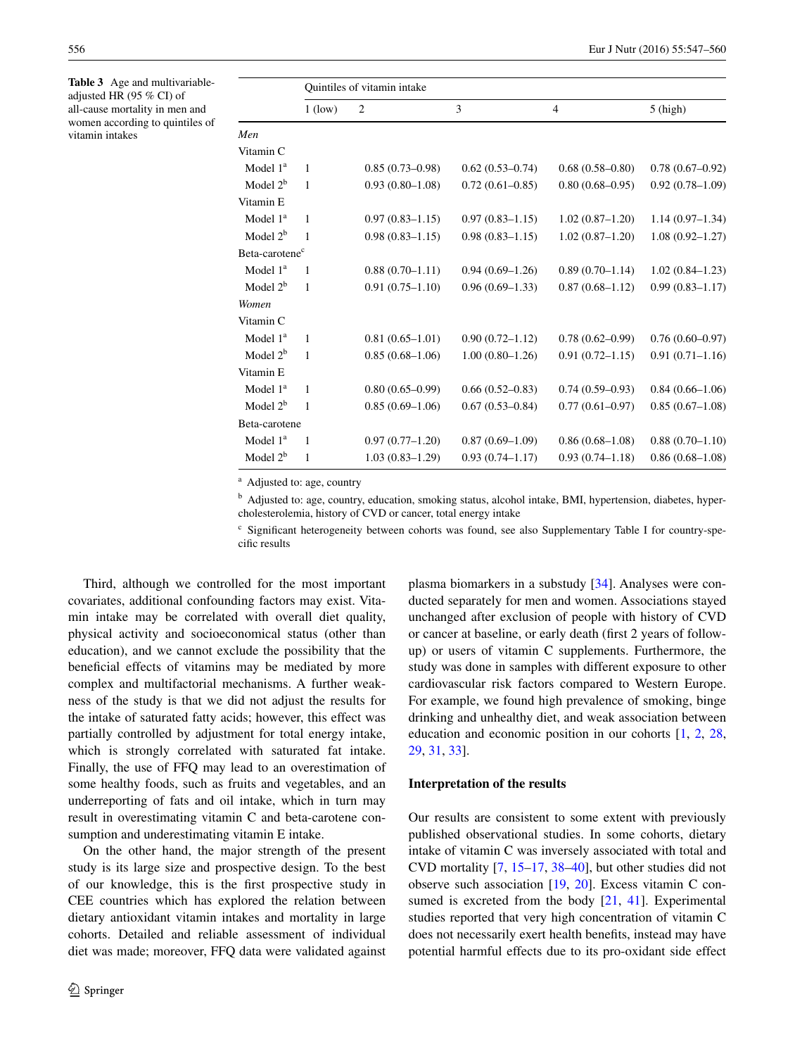<span id="page-9-0"></span>**Table 3** Age and multivariableadjusted HR (95 % CI) of all-cause mortality in men and women according to quintiles of vitamin intakes

|                            |              | Quintiles of vitamin intake |                     |                     |                     |
|----------------------------|--------------|-----------------------------|---------------------|---------------------|---------------------|
|                            | $1$ (low)    | 2                           | 3                   | $\overline{4}$      | $5$ (high)          |
| Men                        |              |                             |                     |                     |                     |
| Vitamin C                  |              |                             |                     |                     |                     |
| Model 1 <sup>a</sup>       | 1            | $0.85(0.73 - 0.98)$         | $0.62(0.53 - 0.74)$ | $0.68(0.58 - 0.80)$ | $0.78(0.67-0.92)$   |
| Model $2^b$                | 1            | $0.93(0.80-1.08)$           | $0.72(0.61 - 0.85)$ | $0.80(0.68 - 0.95)$ | $0.92(0.78 - 1.09)$ |
| Vitamin E                  |              |                             |                     |                     |                     |
| Model $1a$                 | 1            | $0.97(0.83 - 1.15)$         | $0.97(0.83 - 1.15)$ | $1.02(0.87-1.20)$   | $1.14(0.97-1.34)$   |
| Model $2^b$                | 1            | $0.98(0.83 - 1.15)$         | $0.98(0.83 - 1.15)$ | $1.02(0.87-1.20)$   | $1.08(0.92 - 1.27)$ |
| Beta-carotene <sup>c</sup> |              |                             |                     |                     |                     |
| Model $1a$                 | $\mathbf{1}$ | $0.88(0.70-1.11)$           | $0.94(0.69-1.26)$   | $0.89(0.70-1.14)$   | $1.02(0.84 - 1.23)$ |
| Model $2^b$                | $\mathbf{1}$ | $0.91(0.75 - 1.10)$         | $0.96(0.69-1.33)$   | $0.87(0.68 - 1.12)$ | $0.99(0.83 - 1.17)$ |
| Women                      |              |                             |                     |                     |                     |
| Vitamin C                  |              |                             |                     |                     |                     |
| Model 1 <sup>a</sup>       | $\mathbf{1}$ | $0.81(0.65 - 1.01)$         | $0.90(0.72 - 1.12)$ | $0.78(0.62 - 0.99)$ | $0.76(0.60 - 0.97)$ |
| Model $2b$                 | 1            | $0.85(0.68 - 1.06)$         | $1.00(0.80-1.26)$   | $0.91(0.72 - 1.15)$ | $0.91(0.71-1.16)$   |
| Vitamin E                  |              |                             |                     |                     |                     |
| Model 1 <sup>a</sup>       | 1            | $0.80(0.65 - 0.99)$         | $0.66(0.52 - 0.83)$ | $0.74(0.59-0.93)$   | $0.84(0.66-1.06)$   |
| Model $2b$                 | 1            | $0.85(0.69-1.06)$           | $0.67(0.53 - 0.84)$ | $0.77(0.61 - 0.97)$ | $0.85(0.67-1.08)$   |
| Beta-carotene              |              |                             |                     |                     |                     |
| Model $1a$                 | 1            | $0.97(0.77-1.20)$           | $0.87(0.69-1.09)$   | $0.86(0.68 - 1.08)$ | $0.88(0.70-1.10)$   |
| Model $2b$                 | 1            | $1.03(0.83 - 1.29)$         | $0.93(0.74 - 1.17)$ | $0.93(0.74 - 1.18)$ | $0.86(0.68 - 1.08)$ |

<sup>a</sup> Adjusted to: age, country

<sup>b</sup> Adjusted to: age, country, education, smoking status, alcohol intake, BMI, hypertension, diabetes, hypercholesterolemia, history of CVD or cancer, total energy intake

<sup>c</sup> Significant heterogeneity between cohorts was found, see also Supplementary Table I for country-specific results

Third, although we controlled for the most important covariates, additional confounding factors may exist. Vitamin intake may be correlated with overall diet quality, physical activity and socioeconomical status (other than education), and we cannot exclude the possibility that the beneficial effects of vitamins may be mediated by more complex and multifactorial mechanisms. A further weakness of the study is that we did not adjust the results for the intake of saturated fatty acids; however, this effect was partially controlled by adjustment for total energy intake, which is strongly correlated with saturated fat intake. Finally, the use of FFQ may lead to an overestimation of some healthy foods, such as fruits and vegetables, and an underreporting of fats and oil intake, which in turn may result in overestimating vitamin C and beta-carotene consumption and underestimating vitamin E intake.

On the other hand, the major strength of the present study is its large size and prospective design. To the best of our knowledge, this is the first prospective study in CEE countries which has explored the relation between dietary antioxidant vitamin intakes and mortality in large cohorts. Detailed and reliable assessment of individual diet was made; moreover, FFQ data were validated against plasma biomarkers in a substudy [[34\]](#page-13-4). Analyses were conducted separately for men and women. Associations stayed unchanged after exclusion of people with history of CVD or cancer at baseline, or early death (first 2 years of followup) or users of vitamin C supplements. Furthermore, the study was done in samples with different exposure to other cardiovascular risk factors compared to Western Europe. For example, we found high prevalence of smoking, binge drinking and unhealthy diet, and weak association between education and economic position in our cohorts [[1,](#page-12-0) [2,](#page-12-1) [28,](#page-12-22) [29](#page-13-0), [31](#page-13-8), [33](#page-13-3)].

### **Interpretation of the results**

Our results are consistent to some extent with previously published observational studies. In some cohorts, dietary intake of vitamin C was inversely associated with total and CVD mortality [[7,](#page-12-5) [15–](#page-12-12)[17,](#page-12-23) [38](#page-13-9)[–40](#page-13-10)], but other studies did not observe such association [\[19](#page-12-15), [20\]](#page-12-24). Excess vitamin C con-sumed is excreted from the body [\[21](#page-12-25), [41](#page-13-11)]. Experimental studies reported that very high concentration of vitamin C does not necessarily exert health benefits, instead may have potential harmful effects due to its pro-oxidant side effect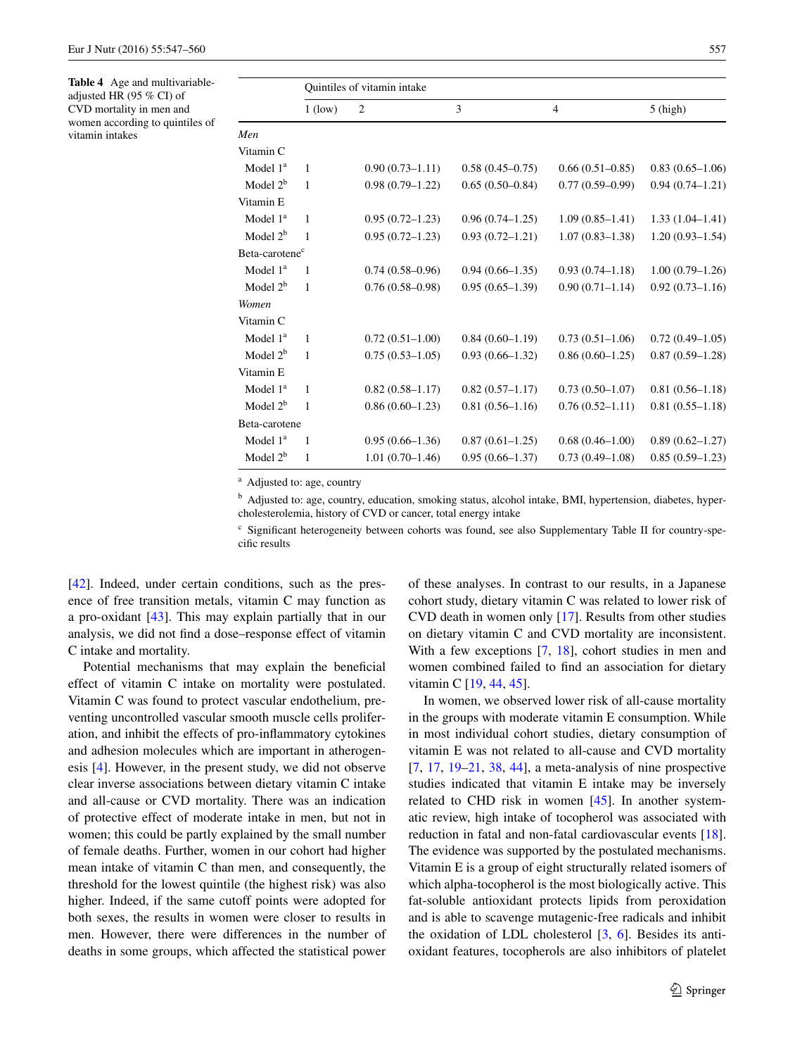<span id="page-10-0"></span>**Table 4** Age and multivariableadjusted HR (95 % CI) of CVD mortality in men and women according to quintiles of vitamin intakes

*Men* Vitami

Vitam

Beta-c

*Women* Vitam

Vitam

Beta-c

|                           |              | Quintiles of vitamin intake |                     |                     |                     |
|---------------------------|--------------|-----------------------------|---------------------|---------------------|---------------------|
|                           | $1$ (low)    | $\overline{2}$              | 3                   | $\overline{4}$      | $5$ (high)          |
| 1en                       |              |                             |                     |                     |                     |
| 'itamin C                 |              |                             |                     |                     |                     |
| Model 1 <sup>a</sup>      | 1            | $0.90(0.73 - 1.11)$         | $0.58(0.45 - 0.75)$ | $0.66(0.51-0.85)$   | $0.83(0.65-1.06)$   |
| Model $2b$                | 1            | $0.98(0.79-1.22)$           | $0.65(0.50-0.84)$   | $0.77(0.59-0.99)$   | $0.94(0.74 - 1.21)$ |
| 'itamin E                 |              |                             |                     |                     |                     |
| Model 1 <sup>a</sup>      | 1            | $0.95(0.72 - 1.23)$         | $0.96(0.74 - 1.25)$ | $1.09(0.85 - 1.41)$ | $1.33(1.04 - 1.41)$ |
| Model $2b$                | $\mathbf{1}$ | $0.95(0.72 - 1.23)$         | $0.93(0.72 - 1.21)$ | $1.07(0.83 - 1.38)$ | $1.20(0.93 - 1.54)$ |
| eta-carotene <sup>c</sup> |              |                             |                     |                     |                     |
| Model 1 <sup>a</sup>      | 1            | $0.74(0.58 - 0.96)$         | $0.94(0.66 - 1.35)$ | $0.93(0.74 - 1.18)$ | $1.00(0.79-1.26)$   |
| Model $2b$                | 1            | $0.76(0.58 - 0.98)$         | $0.95(0.65-1.39)$   | $0.90(0.71 - 1.14)$ | $0.92(0.73 - 1.16)$ |
| <sup>7</sup> omen         |              |                             |                     |                     |                     |
| 'itamin C                 |              |                             |                     |                     |                     |
| Model 1 <sup>a</sup>      | 1            | $0.72(0.51-1.00)$           | $0.84(0.60-1.19)$   | $0.73(0.51-1.06)$   | $0.72(0.49 - 1.05)$ |
| Model $2b$                | 1            | $0.75(0.53-1.05)$           | $0.93(0.66 - 1.32)$ | $0.86(0.60-1.25)$   | $0.87(0.59-1.28)$   |
| 'itamin E                 |              |                             |                     |                     |                     |
| Model 1 <sup>a</sup>      | 1            | $0.82(0.58 - 1.17)$         | $0.82(0.57-1.17)$   | $0.73(0.50-1.07)$   | $0.81(0.56 - 1.18)$ |
| Model $2^b$               | 1            | $0.86(0.60-1.23)$           | $0.81(0.56 - 1.16)$ | $0.76(0.52 - 1.11)$ | $0.81(0.55 - 1.18)$ |
| eta-carotene              |              |                             |                     |                     |                     |

<sup>a</sup> Adjusted to: age, country

<sup>b</sup> Adjusted to: age, country, education, smoking status, alcohol intake, BMI, hypertension, diabetes, hypercholesterolemia, history of CVD or cancer, total energy intake

Model  $1^a$  1 0.95 (0.66–1.36) 0.87 (0.61–1.25) 0.68 (0.46–1.00) 0.89 (0.62–1.27) Model 2<sup>b</sup> 1 1.01 (0.70–1.46) 0.95 (0.66–1.37) 0.73 (0.49–1.08) 0.85 (0.59–1.23)

<sup>c</sup> Significant heterogeneity between cohorts was found, see also Supplementary Table II for country-specific results

[\[42](#page-13-12)]. Indeed, under certain conditions, such as the presence of free transition metals, vitamin C may function as a pro-oxidant [\[43](#page-13-13)]. This may explain partially that in our analysis, we did not find a dose–response effect of vitamin C intake and mortality.

Potential mechanisms that may explain the beneficial effect of vitamin C intake on mortality were postulated. Vitamin C was found to protect vascular endothelium, preventing uncontrolled vascular smooth muscle cells proliferation, and inhibit the effects of pro-inflammatory cytokines and adhesion molecules which are important in atherogenesis [\[4](#page-12-3)]. However, in the present study, we did not observe clear inverse associations between dietary vitamin C intake and all-cause or CVD mortality. There was an indication of protective effect of moderate intake in men, but not in women; this could be partly explained by the small number of female deaths. Further, women in our cohort had higher mean intake of vitamin C than men, and consequently, the threshold for the lowest quintile (the highest risk) was also higher. Indeed, if the same cutoff points were adopted for both sexes, the results in women were closer to results in men. However, there were differences in the number of deaths in some groups, which affected the statistical power of these analyses. In contrast to our results, in a Japanese cohort study, dietary vitamin C was related to lower risk of CVD death in women only [[17\]](#page-12-23). Results from other studies on dietary vitamin C and CVD mortality are inconsistent. With a few exceptions [[7,](#page-12-5) [18](#page-12-14)], cohort studies in men and women combined failed to find an association for dietary vitamin C [[19,](#page-12-15) [44,](#page-13-14) [45\]](#page-13-15).

In women, we observed lower risk of all-cause mortality in the groups with moderate vitamin E consumption. While in most individual cohort studies, dietary consumption of vitamin E was not related to all-cause and CVD mortality [\[7](#page-12-5), [17](#page-12-23), [19–](#page-12-15)[21,](#page-12-25) [38](#page-13-9), [44](#page-13-14)], a meta-analysis of nine prospective studies indicated that vitamin E intake may be inversely related to CHD risk in women [\[45](#page-13-15)]. In another systematic review, high intake of tocopherol was associated with reduction in fatal and non-fatal cardiovascular events [\[18](#page-12-14)]. The evidence was supported by the postulated mechanisms. Vitamin E is a group of eight structurally related isomers of which alpha-tocopherol is the most biologically active. This fat-soluble antioxidant protects lipids from peroxidation and is able to scavenge mutagenic-free radicals and inhibit the oxidation of LDL cholesterol [\[3](#page-12-2), [6\]](#page-12-4). Besides its antioxidant features, tocopherols are also inhibitors of platelet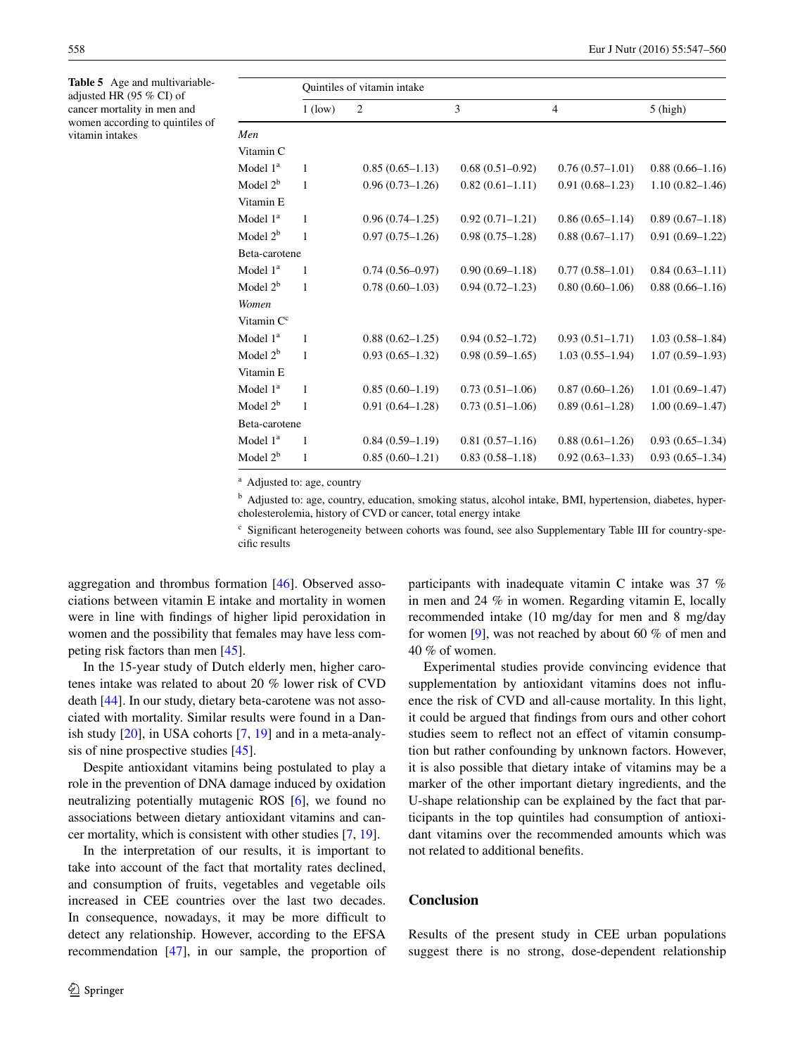<span id="page-11-0"></span>**Table 5** Age and multivariableadjusted HR (95 % CI) of cancer mortality in men and women according to quintiles of vitamin intakes

|                        |              | Quintiles of vitamin intake |                     |                     |                     |
|------------------------|--------------|-----------------------------|---------------------|---------------------|---------------------|
|                        | $1$ (low)    | $\overline{2}$              | 3                   | $\overline{4}$      | $5$ (high)          |
| Men                    |              |                             |                     |                     |                     |
| Vitamin C              |              |                             |                     |                     |                     |
| Model 1 <sup>a</sup>   | 1            | $0.85(0.65 - 1.13)$         | $0.68(0.51-0.92)$   | $0.76(0.57-1.01)$   | $0.88(0.66 - 1.16)$ |
| Model $2^b$            | $\mathbf{1}$ | $0.96(0.73 - 1.26)$         | $0.82(0.61 - 1.11)$ | $0.91(0.68 - 1.23)$ | $1.10(0.82 - 1.46)$ |
| Vitamin E              |              |                             |                     |                     |                     |
| Model 1 <sup>a</sup>   | 1            | $0.96(0.74 - 1.25)$         | $0.92(0.71 - 1.21)$ | $0.86(0.65-1.14)$   | $0.89(0.67-1.18)$   |
| Model $2^b$            | 1            | $0.97(0.75-1.26)$           | $0.98(0.75-1.28)$   | $0.88(0.67-1.17)$   | $0.91(0.69-1.22)$   |
| Beta-carotene          |              |                             |                     |                     |                     |
| Model 1 <sup>a</sup>   | 1            | $0.74(0.56 - 0.97)$         | $0.90(0.69 - 1.18)$ | $0.77(0.58 - 1.01)$ | $0.84(0.63 - 1.11)$ |
| Model $2^b$            | $\mathbf{1}$ | $0.78(0.60-1.03)$           | $0.94(0.72 - 1.23)$ | $0.80(0.60 - 1.06)$ | $0.88(0.66 - 1.16)$ |
| Women                  |              |                             |                     |                     |                     |
| Vitamin C <sup>c</sup> |              |                             |                     |                     |                     |
| Model 1 <sup>a</sup>   | 1            | $0.88(0.62 - 1.25)$         | $0.94(0.52 - 1.72)$ | $0.93(0.51 - 1.71)$ | $1.03(0.58-1.84)$   |
| Model $2^b$            | 1            | $0.93(0.65 - 1.32)$         | $0.98(0.59-1.65)$   | $1.03(0.55-1.94)$   | $1.07(0.59-1.93)$   |
| Vitamin E              |              |                             |                     |                     |                     |
| Model 1 <sup>a</sup>   | 1            | $0.85(0.60 - 1.19)$         | $0.73(0.51-1.06)$   | $0.87(0.60 - 1.26)$ | $1.01(0.69 - 1.47)$ |
| Model $2^b$            | 1            | $0.91(0.64 - 1.28)$         | $0.73(0.51-1.06)$   | $0.89(0.61 - 1.28)$ | $1.00(0.69 - 1.47)$ |
| Beta-carotene          |              |                             |                     |                     |                     |
| Model 1 <sup>a</sup>   | 1            | $0.84(0.59-1.19)$           | $0.81(0.57-1.16)$   | $0.88(0.61-1.26)$   | $0.93(0.65 - 1.34)$ |
| Model $2^b$            | 1            | $0.85(0.60-1.21)$           | $0.83(0.58 - 1.18)$ | $0.92(0.63 - 1.33)$ | $0.93(0.65 - 1.34)$ |

<sup>a</sup> Adjusted to: age, country

<sup>b</sup> Adjusted to: age, country, education, smoking status, alcohol intake, BMI, hypertension, diabetes, hypercholesterolemia, history of CVD or cancer, total energy intake

<sup>c</sup> Significant heterogeneity between cohorts was found, see also Supplementary Table III for country-specific results

aggregation and thrombus formation [\[46](#page-13-16)]. Observed associations between vitamin E intake and mortality in women were in line with findings of higher lipid peroxidation in women and the possibility that females may have less competing risk factors than men [\[45](#page-13-15)].

In the 15-year study of Dutch elderly men, higher carotenes intake was related to about 20 % lower risk of CVD death [\[44](#page-13-14)]. In our study, dietary beta-carotene was not associated with mortality. Similar results were found in a Danish study [\[20](#page-12-24)], in USA cohorts [\[7](#page-12-5), [19\]](#page-12-15) and in a meta-analysis of nine prospective studies [\[45](#page-13-15)].

Despite antioxidant vitamins being postulated to play a role in the prevention of DNA damage induced by oxidation neutralizing potentially mutagenic ROS [\[6\]](#page-12-4), we found no associations between dietary antioxidant vitamins and cancer mortality, which is consistent with other studies [[7,](#page-12-5) [19](#page-12-15)].

In the interpretation of our results, it is important to take into account of the fact that mortality rates declined, and consumption of fruits, vegetables and vegetable oils increased in CEE countries over the last two decades. In consequence, nowadays, it may be more difficult to detect any relationship. However, according to the EFSA recommendation [[47\]](#page-13-17), in our sample, the proportion of participants with inadequate vitamin C intake was 37 % in men and 24 % in women. Regarding vitamin E, locally recommended intake (10 mg/day for men and 8 mg/day for women [[9\]](#page-12-6), was not reached by about 60 % of men and 40 % of women.

Experimental studies provide convincing evidence that supplementation by antioxidant vitamins does not influence the risk of CVD and all-cause mortality. In this light, it could be argued that findings from ours and other cohort studies seem to reflect not an effect of vitamin consumption but rather confounding by unknown factors. However, it is also possible that dietary intake of vitamins may be a marker of the other important dietary ingredients, and the U-shape relationship can be explained by the fact that participants in the top quintiles had consumption of antioxidant vitamins over the recommended amounts which was not related to additional benefits.

## **Conclusion**

Results of the present study in CEE urban populations suggest there is no strong, dose-dependent relationship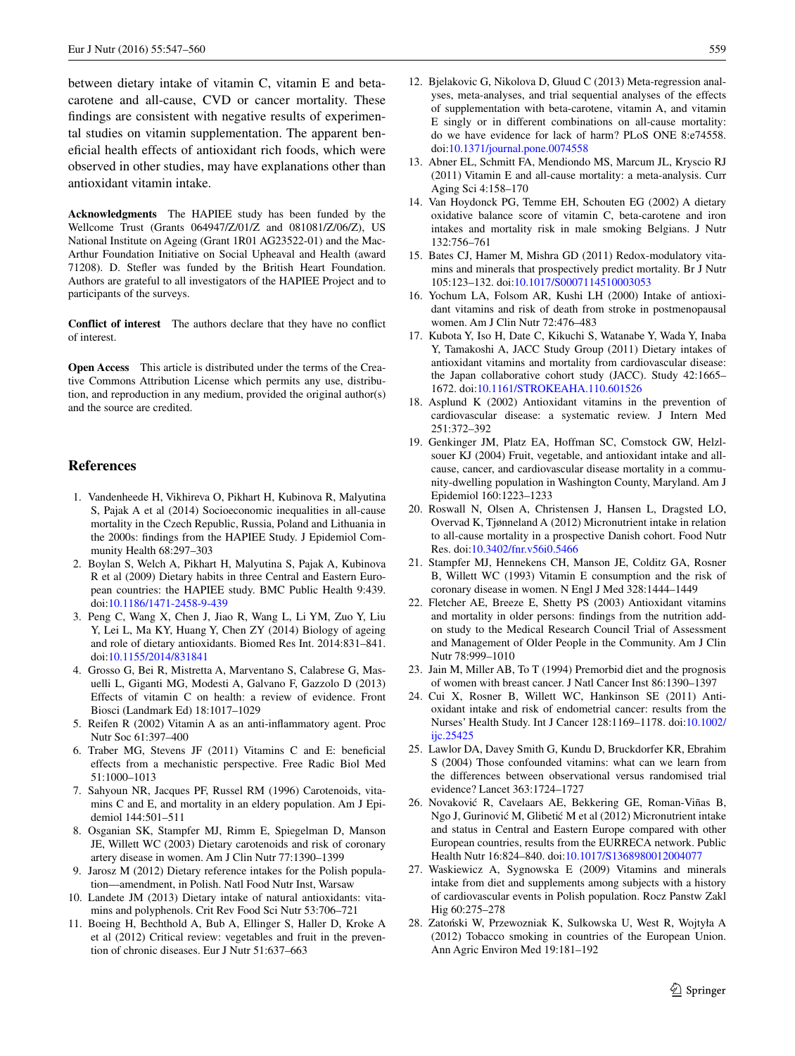between dietary intake of vitamin C, vitamin E and betacarotene and all-cause, CVD or cancer mortality. These findings are consistent with negative results of experimental studies on vitamin supplementation. The apparent beneficial health effects of antioxidant rich foods, which were observed in other studies, may have explanations other than antioxidant vitamin intake.

**Acknowledgments** The HAPIEE study has been funded by the Wellcome Trust (Grants 064947/Z/01/Z and 081081/Z/06/Z), US National Institute on Ageing (Grant 1R01 AG23522-01) and the Mac-Arthur Foundation Initiative on Social Upheaval and Health (award 71208). D. Stefler was funded by the British Heart Foundation. Authors are grateful to all investigators of the HAPIEE Project and to participants of the surveys.

**Conflict of interest** The authors declare that they have no conflict of interest.

**Open Access** This article is distributed under the terms of the Creative Commons Attribution License which permits any use, distribution, and reproduction in any medium, provided the original author(s) and the source are credited.

# **References**

- <span id="page-12-0"></span>1. Vandenheede H, Vikhireva O, Pikhart H, Kubinova R, Malyutina S, Pajak A et al (2014) Socioeconomic inequalities in all-cause mortality in the Czech Republic, Russia, Poland and Lithuania in the 2000s: findings from the HAPIEE Study. J Epidemiol Community Health 68:297–303
- <span id="page-12-1"></span>2. Boylan S, Welch A, Pikhart H, Malyutina S, Pajak A, Kubinova R et al (2009) Dietary habits in three Central and Eastern European countries: the HAPIEE study. BMC Public Health 9:439. doi[:10.1186/1471-2458-9-439](http://dx.doi.org/10.1186/1471-2458-9-439)
- <span id="page-12-2"></span>3. Peng C, Wang X, Chen J, Jiao R, Wang L, Li YM, Zuo Y, Liu Y, Lei L, Ma KY, Huang Y, Chen ZY (2014) Biology of ageing and role of dietary antioxidants. Biomed Res Int. 2014:831–841. doi[:10.1155/2014/831841](http://dx.doi.org/10.1155/2014/831841)
- <span id="page-12-3"></span>4. Grosso G, Bei R, Mistretta A, Marventano S, Calabrese G, Masuelli L, Giganti MG, Modesti A, Galvano F, Gazzolo D (2013) Effects of vitamin C on health: a review of evidence. Front Biosci (Landmark Ed) 18:1017–1029
- 5. Reifen R (2002) Vitamin A as an anti-inflammatory agent. Proc Nutr Soc 61:397–400
- <span id="page-12-4"></span>6. Traber MG, Stevens JF (2011) Vitamins C and E: beneficial effects from a mechanistic perspective. Free Radic Biol Med 51:1000–1013
- <span id="page-12-5"></span>7. Sahyoun NR, Jacques PF, Russel RM (1996) Carotenoids, vitamins C and E, and mortality in an eldery population. Am J Epidemiol 144:501–511
- <span id="page-12-13"></span>8. Osganian SK, Stampfer MJ, Rimm E, Spiegelman D, Manson JE, Willett WC (2003) Dietary carotenoids and risk of coronary artery disease in women. Am J Clin Nutr 77:1390–1399
- <span id="page-12-6"></span>9. Jarosz M (2012) Dietary reference intakes for the Polish population—amendment, in Polish. Natl Food Nutr Inst, Warsaw
- <span id="page-12-7"></span>10. Landete JM (2013) Dietary intake of natural antioxidants: vitamins and polyphenols. Crit Rev Food Sci Nutr 53:706–721
- <span id="page-12-8"></span>11. Boeing H, Bechthold A, Bub A, Ellinger S, Haller D, Kroke A et al (2012) Critical review: vegetables and fruit in the prevention of chronic diseases. Eur J Nutr 51:637–663
- <span id="page-12-9"></span>12. Bjelakovic G, Nikolova D, Gluud C (2013) Meta-regression analyses, meta-analyses, and trial sequential analyses of the effects of supplementation with beta-carotene, vitamin A, and vitamin E singly or in different combinations on all-cause mortality: do we have evidence for lack of harm? PLoS ONE 8:e74558. doi[:10.1371/journal.pone.0074558](http://dx.doi.org/10.1371/journal.pone.0074558)
- <span id="page-12-10"></span>13. Abner EL, Schmitt FA, Mendiondo MS, Marcum JL, Kryscio RJ (2011) Vitamin E and all-cause mortality: a meta-analysis. Curr Aging Sci 4:158–170
- <span id="page-12-11"></span>14. Van Hoydonck PG, Temme EH, Schouten EG (2002) A dietary oxidative balance score of vitamin C, beta-carotene and iron intakes and mortality risk in male smoking Belgians. J Nutr 132:756–761
- <span id="page-12-12"></span>15. Bates CJ, Hamer M, Mishra GD (2011) Redox-modulatory vitamins and minerals that prospectively predict mortality. Br J Nutr 105:123–132. doi[:10.1017/S0007114510003053](http://dx.doi.org/10.1017/S0007114510003053)
- 16. Yochum LA, Folsom AR, Kushi LH (2000) Intake of antioxidant vitamins and risk of death from stroke in postmenopausal women. Am J Clin Nutr 72:476–483
- <span id="page-12-23"></span>17. Kubota Y, Iso H, Date C, Kikuchi S, Watanabe Y, Wada Y, Inaba Y, Tamakoshi A, JACC Study Group (2011) Dietary intakes of antioxidant vitamins and mortality from cardiovascular disease: the Japan collaborative cohort study (JACC). Study 42:1665– 1672. doi:[10.1161/STROKEAHA.110.601526](http://dx.doi.org/10.1161/STROKEAHA.110.601526)
- <span id="page-12-14"></span>18. Asplund K (2002) Antioxidant vitamins in the prevention of cardiovascular disease: a systematic review. J Intern Med 251:372–392
- <span id="page-12-15"></span>19. Genkinger JM, Platz EA, Hoffman SC, Comstock GW, Helzlsouer KJ (2004) Fruit, vegetable, and antioxidant intake and allcause, cancer, and cardiovascular disease mortality in a community-dwelling population in Washington County, Maryland. Am J Epidemiol 160:1223–1233
- <span id="page-12-24"></span>20. Roswall N, Olsen A, Christensen J, Hansen L, Dragsted LO, Overvad K, Tjønneland A (2012) Micronutrient intake in relation to all-cause mortality in a prospective Danish cohort. Food Nutr Res. doi[:10.3402/fnr.v56i0.5466](http://dx.doi.org/10.3402/fnr.v56i0.5466)
- <span id="page-12-25"></span>21. Stampfer MJ, Hennekens CH, Manson JE, Colditz GA, Rosner B, Willett WC (1993) Vitamin E consumption and the risk of coronary disease in women. N Engl J Med 328:1444–1449
- <span id="page-12-16"></span>22. Fletcher AE, Breeze E, Shetty PS (2003) Antioxidant vitamins and mortality in older persons: findings from the nutrition addon study to the Medical Research Council Trial of Assessment and Management of Older People in the Community. Am J Clin Nutr 78:999–1010
- <span id="page-12-17"></span>23. Jain M, Miller AB, To T (1994) Premorbid diet and the prognosis of women with breast cancer. J Natl Cancer Inst 86:1390–1397
- <span id="page-12-18"></span>24. Cui X, Rosner B, Willett WC, Hankinson SE (2011) Antioxidant intake and risk of endometrial cancer: results from the Nurses' Health Study. Int J Cancer 128:1169–1178. doi[:10.1002/](http://dx.doi.org/10.1002/ijc.25425) [ijc.25425](http://dx.doi.org/10.1002/ijc.25425)
- <span id="page-12-19"></span>25. Lawlor DA, Davey Smith G, Kundu D, Bruckdorfer KR, Ebrahim S (2004) Those confounded vitamins: what can we learn from the differences between observational versus randomised trial evidence? Lancet 363:1724–1727
- <span id="page-12-20"></span>26. Novaković R, Cavelaars AE, Bekkering GE, Roman-Viñas B, Ngo J, Gurinović M, Glibetić M et al (2012) Micronutrient intake and status in Central and Eastern Europe compared with other European countries, results from the EURRECA network. Public Health Nutr 16:824–840. doi:[10.1017/S1368980012004077](http://dx.doi.org/10.1017/S1368980012004077)
- <span id="page-12-21"></span>27. Waskiewicz A, Sygnowska E (2009) Vitamins and minerals intake from diet and supplements among subjects with a history of cardiovascular events in Polish population. Rocz Panstw Zakl Hig 60:275–278
- <span id="page-12-22"></span>28. Zatoński W, Przewozniak K, Sulkowska U, West R, Wojtyła A (2012) Tobacco smoking in countries of the European Union. Ann Agric Environ Med 19:181–192